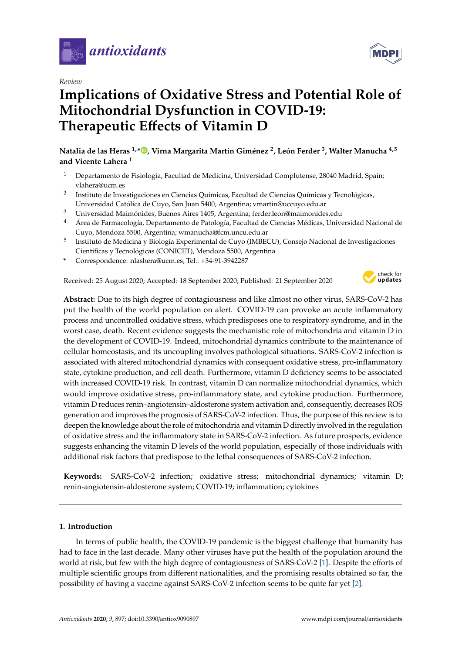

*Review*

# **Implications of Oxidative Stress and Potential Role of Mitochondrial Dysfunction in COVID-19: Therapeutic E**ff**ects of Vitamin D**

**Natalia de las Heras 1,\* , Virna Margarita Martín Giménez <sup>2</sup> , León Ferder <sup>3</sup> , Walter Manucha 4,5 and Vicente Lahera <sup>1</sup>**

- <sup>1</sup> Departamento de Fisiología, Facultad de Medicina, Universidad Complutense, 28040 Madrid, Spain; vlahera@ucm.es
- 2 Instituto de Investigaciones en Ciencias Químicas, Facultad de Ciencias Químicas y Tecnológicas, Universidad Católica de Cuyo, San Juan 5400, Argentina; vmartin@uccuyo.edu.ar
- <sup>3</sup> Universidad Maimónides, Buenos Aires 1405, Argentina; ferder.leon@maimonides.edu
- <sup>4</sup> Área de Farmacología, Departamento de Patología, Facultad de Ciencias Médicas, Universidad Nacional de Cuyo, Mendoza 5500, Argentina; wmanucha@fcm.uncu.edu.ar
- $^5$  Instituto de Medicina y Biología Experimental de Cuyo (IMBECU), Consejo Nacional de Investigaciones Científicas y Tecnológicas (CONICET), Mendoza 5500, Argentina
- **\*** Correspondence: nlashera@ucm.es; Tel.: +34-91-3942287

Received: 25 August 2020; Accepted: 18 September 2020; Published: 21 September 2020



**Abstract:** Due to its high degree of contagiousness and like almost no other virus, SARS-CoV-2 has put the health of the world population on alert. COVID-19 can provoke an acute inflammatory process and uncontrolled oxidative stress, which predisposes one to respiratory syndrome, and in the worst case, death. Recent evidence suggests the mechanistic role of mitochondria and vitamin D in the development of COVID-19. Indeed, mitochondrial dynamics contribute to the maintenance of cellular homeostasis, and its uncoupling involves pathological situations. SARS-CoV-2 infection is associated with altered mitochondrial dynamics with consequent oxidative stress, pro-inflammatory state, cytokine production, and cell death. Furthermore, vitamin D deficiency seems to be associated with increased COVID-19 risk. In contrast, vitamin D can normalize mitochondrial dynamics, which would improve oxidative stress, pro-inflammatory state, and cytokine production. Furthermore, vitamin D reduces renin–angiotensin–aldosterone system activation and, consequently, decreases ROS generation and improves the prognosis of SARS-CoV-2 infection. Thus, the purpose of this review is to deepen the knowledge about the role of mitochondria and vitamin D directly involved in the regulation of oxidative stress and the inflammatory state in SARS-CoV-2 infection. As future prospects, evidence suggests enhancing the vitamin D levels of the world population, especially of those individuals with additional risk factors that predispose to the lethal consequences of SARS-CoV-2 infection.

**Keywords:** SARS-CoV-2 infection; oxidative stress; mitochondrial dynamics; vitamin D; renin-angiotensin-aldosterone system; COVID-19; inflammation; cytokines

# **1. Introduction**

In terms of public health, the COVID-19 pandemic is the biggest challenge that humanity has had to face in the last decade. Many other viruses have put the health of the population around the world at risk, but few with the high degree of contagiousness of SARS-CoV-2 [1]. Despite the efforts of multiple scientific groups from different nationalities, and the promising results obtained so far, the possibility of having a vaccine against SARS-CoV-2 infection seems to be quite far yet [2].

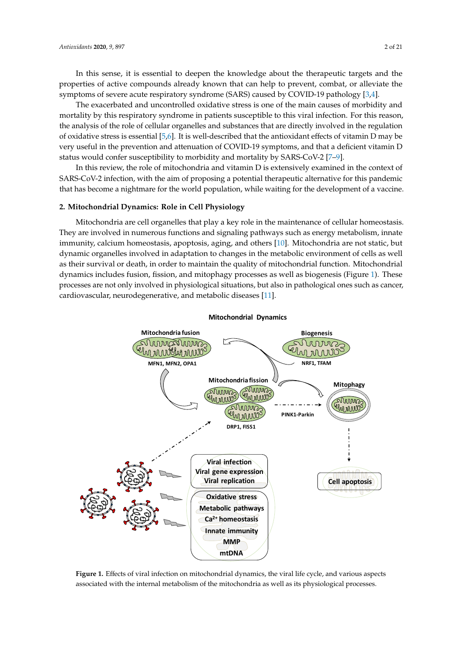In this sense, it is essential to deepen the knowledge about the therapeutic targets and the properties of active compounds already known that can help to prevent, combat, or alleviate the symptoms of severe acute respiratory syndrome (SARS) caused by COVID-19 pathology [3,4].

The exacerbated and uncontrolled oxidative stress is one of the main causes of morbidity and mortality by this respiratory syndrome in patients susceptible to this viral infection. For this reason, the analysis of the role of cellular organelles and substances that are directly involved in the regulation of oxidative stress is essential [5,6]. It is well-described that the antioxidant effects of vitamin D may be very useful in the prevention and attenuation of COVID-19 symptoms, and that a deficient vitamin D status would confer susceptibility to morbidity and mortality by SARS-CoV-2 [7–9].

In this review, the role of mitochondria and vitamin D is extensively examined in the context of SARS-CoV-2 infection, with the aim of proposing a potential therapeutic alternative for this pandemic that has become a nightmare for the world population, while waiting for the development of a vaccine.

#### **2. Mitochondrial Dynamics: Role in Cell Physiology**

Mitochondria are cell organelles that play a key role in the maintenance of cellular homeostasis. They are involved in numerous functions and signaling pathways such as energy metabolism, innate immunity, calcium homeostasis, apoptosis, aging, and others [10]. Mitochondria are not static, but dynamic organelles involved in adaptation to changes in the metabolic environment of cells as well as their survival or death, in order to maintain the quality of mitochondrial function. Mitochondrial dynamics includes fusion, fission, and mitophagy processes as well as biogenesis (Figure 1). These processes are not only involved in physiological situations, but also in pathological ones such as cancer, cardiovascular, neurodegenerative, and metabolic diseases [11].



**Mitochondrial Dynamics**

Figure 1. Effects of viral infection on mitochondrial dynamics, the viral life cycle, and various aspects associated with the internal metabolism of the mitochondria as well as its physiological processes. associated with the internal metabolism of the mitochondria as well as its physiological processes.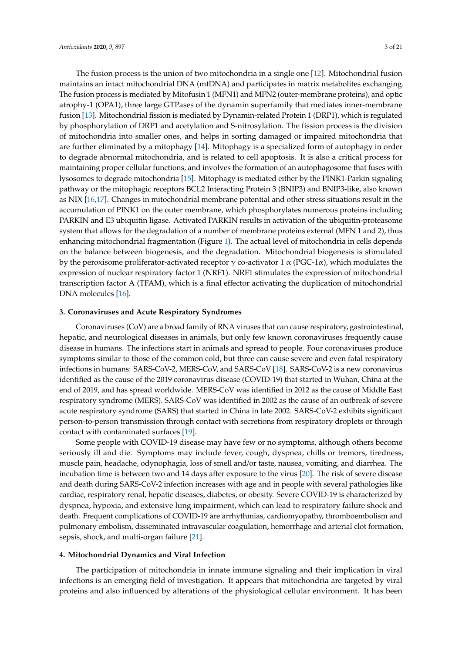The fusion process is the union of two mitochondria in a single one [12]. Mitochondrial fusion maintains an intact mitochondrial DNA (mtDNA) and participates in matrix metabolites exchanging. The fusion process is mediated by Mitofusin 1 (MFN1) and MFN2 (outer-membrane proteins), and optic atrophy-1 (OPA1), three large GTPases of the dynamin superfamily that mediates inner-membrane fusion [13]. Mitochondrial fission is mediated by Dynamin-related Protein 1 (DRP1), which is regulated by phosphorylation of DRP1 and acetylation and S-nitrosylation. The fission process is the division of mitochondria into smaller ones, and helps in sorting damaged or impaired mitochondria that are further eliminated by a mitophagy [14]. Mitophagy is a specialized form of autophagy in order to degrade abnormal mitochondria, and is related to cell apoptosis. It is also a critical process for maintaining proper cellular functions, and involves the formation of an autophagosome that fuses with lysosomes to degrade mitochondria [15]. Mitophagy is mediated either by the PINK1-Parkin signaling pathway or the mitophagic receptors BCL2 Interacting Protein 3 (BNIP3) and BNIP3-like, also known as NIX [16,17]. Changes in mitochondrial membrane potential and other stress situations result in the accumulation of PINK1 on the outer membrane, which phosphorylates numerous proteins including PARKIN and E3 ubiquitin ligase. Activated PARKIN results in activation of the ubiquitin-proteasome system that allows for the degradation of a number of membrane proteins external (MFN 1 and 2), thus enhancing mitochondrial fragmentation (Figure 1). The actual level of mitochondria in cells depends on the balance between biogenesis, and the degradation. Mitochondrial biogenesis is stimulated by the peroxisome proliferator-activated receptor γ co-activator 1  $\alpha$  (PGC-1α), which modulates the expression of nuclear respiratory factor 1 (NRF1). NRF1 stimulates the expression of mitochondrial transcription factor A (TFAM), which is a final effector activating the duplication of mitochondrial DNA molecules [16].

#### **3. Coronaviruses and Acute Respiratory Syndromes**

Coronaviruses (CoV) are a broad family of RNA viruses that can cause respiratory, gastrointestinal, hepatic, and neurological diseases in animals, but only few known coronaviruses frequently cause disease in humans. The infections start in animals and spread to people. Four coronaviruses produce symptoms similar to those of the common cold, but three can cause severe and even fatal respiratory infections in humans: SARS-CoV-2, MERS-CoV, and SARS-CoV [18]. SARS-CoV-2 is a new coronavirus identified as the cause of the 2019 coronavirus disease (COVID-19) that started in Wuhan, China at the end of 2019, and has spread worldwide. MERS-CoV was identified in 2012 as the cause of Middle East respiratory syndrome (MERS). SARS-CoV was identified in 2002 as the cause of an outbreak of severe acute respiratory syndrome (SARS) that started in China in late 2002. SARS-CoV-2 exhibits significant person-to-person transmission through contact with secretions from respiratory droplets or through contact with contaminated surfaces [19].

Some people with COVID-19 disease may have few or no symptoms, although others become seriously ill and die. Symptoms may include fever, cough, dyspnea, chills or tremors, tiredness, muscle pain, headache, odynophagia, loss of smell and/or taste, nausea, vomiting, and diarrhea. The incubation time is between two and 14 days after exposure to the virus [20]. The risk of severe disease and death during SARS-CoV-2 infection increases with age and in people with several pathologies like cardiac, respiratory renal, hepatic diseases, diabetes, or obesity. Severe COVID-19 is characterized by dyspnea, hypoxia, and extensive lung impairment, which can lead to respiratory failure shock and death. Frequent complications of COVID-19 are arrhythmias, cardiomyopathy, thromboembolism and pulmonary embolism, disseminated intravascular coagulation, hemorrhage and arterial clot formation, sepsis, shock, and multi-organ failure [21].

#### **4. Mitochondrial Dynamics and Viral Infection**

The participation of mitochondria in innate immune signaling and their implication in viral infections is an emerging field of investigation. It appears that mitochondria are targeted by viral proteins and also influenced by alterations of the physiological cellular environment. It has been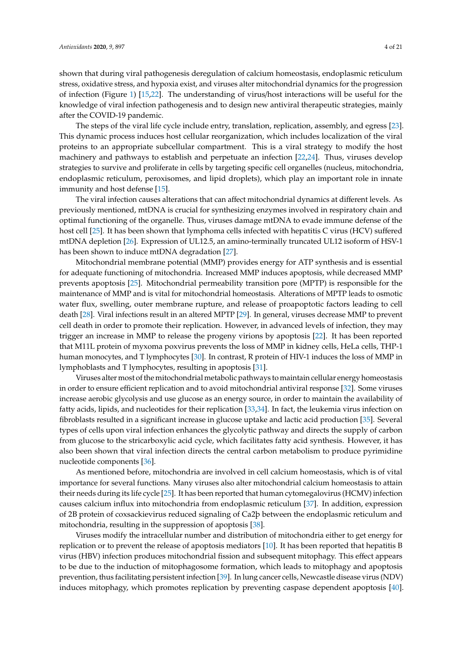shown that during viral pathogenesis deregulation of calcium homeostasis, endoplasmic reticulum stress, oxidative stress, and hypoxia exist, and viruses alter mitochondrial dynamics for the progression of infection (Figure 1) [15,22]. The understanding of virus/host interactions will be useful for the knowledge of viral infection pathogenesis and to design new antiviral therapeutic strategies, mainly after the COVID-19 pandemic.

The steps of the viral life cycle include entry, translation, replication, assembly, and egress [23]. This dynamic process induces host cellular reorganization, which includes localization of the viral proteins to an appropriate subcellular compartment. This is a viral strategy to modify the host machinery and pathways to establish and perpetuate an infection [22,24]. Thus, viruses develop strategies to survive and proliferate in cells by targeting specific cell organelles (nucleus, mitochondria, endoplasmic reticulum, peroxisomes, and lipid droplets), which play an important role in innate immunity and host defense [15].

The viral infection causes alterations that can affect mitochondrial dynamics at different levels. As previously mentioned, mtDNA is crucial for synthesizing enzymes involved in respiratory chain and optimal functioning of the organelle. Thus, viruses damage mtDNA to evade immune defense of the host cell [25]. It has been shown that lymphoma cells infected with hepatitis C virus (HCV) suffered mtDNA depletion [26]. Expression of UL12.5, an amino-terminally truncated UL12 isoform of HSV-1 has been shown to induce mtDNA degradation [27].

Mitochondrial membrane potential (MMP) provides energy for ATP synthesis and is essential for adequate functioning of mitochondria. Increased MMP induces apoptosis, while decreased MMP prevents apoptosis [25]. Mitochondrial permeability transition pore (MPTP) is responsible for the maintenance of MMP and is vital for mitochondrial homeostasis. Alterations of MPTP leads to osmotic water flux, swelling, outer membrane rupture, and release of proapoptotic factors leading to cell death [28]. Viral infections result in an altered MPTP [29]. In general, viruses decrease MMP to prevent cell death in order to promote their replication. However, in advanced levels of infection, they may trigger an increase in MMP to release the progeny virions by apoptosis [22]. It has been reported that M11L protein of myxoma poxvirus prevents the loss of MMP in kidney cells, HeLa cells, THP-1 human monocytes, and T lymphocytes [30]. In contrast, R protein of HIV-1 induces the loss of MMP in lymphoblasts and T lymphocytes, resulting in apoptosis [31].

Viruses alter most of the mitochondrial metabolic pathways to maintain cellular energy homeostasis in order to ensure efficient replication and to avoid mitochondrial antiviral response [32]. Some viruses increase aerobic glycolysis and use glucose as an energy source, in order to maintain the availability of fatty acids, lipids, and nucleotides for their replication [33,34]. In fact, the leukemia virus infection on fibroblasts resulted in a significant increase in glucose uptake and lactic acid production [35]. Several types of cells upon viral infection enhances the glycolytic pathway and directs the supply of carbon from glucose to the stricarboxylic acid cycle, which facilitates fatty acid synthesis. However, it has also been shown that viral infection directs the central carbon metabolism to produce pyrimidine nucleotide components [36].

As mentioned before, mitochondria are involved in cell calcium homeostasis, which is of vital importance for several functions. Many viruses also alter mitochondrial calcium homeostasis to attain their needs during its life cycle [25]. It has been reported that human cytomegalovirus (HCMV) infection causes calcium influx into mitochondria from endoplasmic reticulum [37]. In addition, expression of 2B protein of coxsackievirus reduced signaling of Ca2þ between the endoplasmic reticulum and mitochondria, resulting in the suppression of apoptosis [38].

Viruses modify the intracellular number and distribution of mitochondria either to get energy for replication or to prevent the release of apoptosis mediators [10]. It has been reported that hepatitis B virus (HBV) infection produces mitochondrial fission and subsequent mitophagy. This effect appears to be due to the induction of mitophagosome formation, which leads to mitophagy and apoptosis prevention, thus facilitating persistent infection [39]. In lung cancer cells, Newcastle disease virus (NDV) induces mitophagy, which promotes replication by preventing caspase dependent apoptosis [40].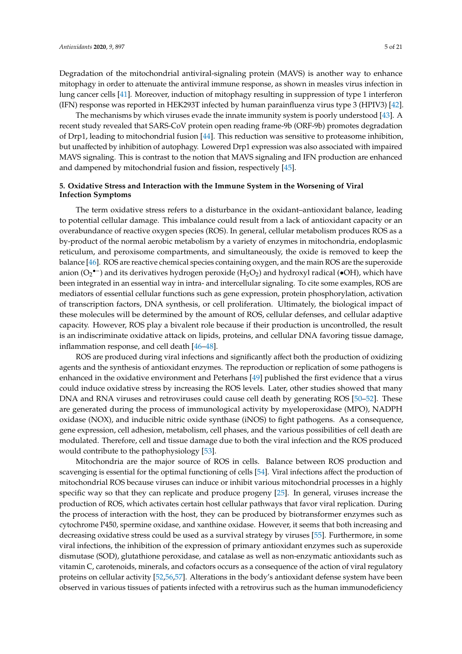Degradation of the mitochondrial antiviral-signaling protein (MAVS) is another way to enhance mitophagy in order to attenuate the antiviral immune response, as shown in measles virus infection in lung cancer cells [41]. Moreover, induction of mitophagy resulting in suppression of type 1 interferon (IFN) response was reported in HEK293T infected by human parainfluenza virus type 3 (HPIV3) [42].

The mechanisms by which viruses evade the innate immunity system is poorly understood [43]. A recent study revealed that SARS-CoV protein open reading frame-9b (ORF-9b) promotes degradation of Drp1, leading to mitochondrial fusion [44]. This reduction was sensitive to proteasome inhibition, but unaffected by inhibition of autophagy. Lowered Drp1 expression was also associated with impaired MAVS signaling. This is contrast to the notion that MAVS signaling and IFN production are enhanced and dampened by mitochondrial fusion and fission, respectively [45].

# **5. Oxidative Stress and Interaction with the Immune System in the Worsening of Viral Infection Symptoms**

The term oxidative stress refers to a disturbance in the oxidant–antioxidant balance, leading to potential cellular damage. This imbalance could result from a lack of antioxidant capacity or an overabundance of reactive oxygen species (ROS). In general, cellular metabolism produces ROS as a by-product of the normal aerobic metabolism by a variety of enzymes in mitochondria, endoplasmic reticulum, and peroxisome compartments, and simultaneously, the oxide is removed to keep the balance [46]. ROS are reactive chemical species containing oxygen, and the main ROS are the superoxide anion (O<sub>2</sub><sup>•–</sup>) and its derivatives hydrogen peroxide (H<sub>2</sub>O<sub>2</sub>) and hydroxyl radical (•OH), which have been integrated in an essential way in intra- and intercellular signaling. To cite some examples, ROS are mediators of essential cellular functions such as gene expression, protein phosphorylation, activation of transcription factors, DNA synthesis, or cell proliferation. Ultimately, the biological impact of these molecules will be determined by the amount of ROS, cellular defenses, and cellular adaptive capacity. However, ROS play a bivalent role because if their production is uncontrolled, the result is an indiscriminate oxidative attack on lipids, proteins, and cellular DNA favoring tissue damage, inflammation response, and cell death [46–48].

ROS are produced during viral infections and significantly affect both the production of oxidizing agents and the synthesis of antioxidant enzymes. The reproduction or replication of some pathogens is enhanced in the oxidative environment and Peterhans [49] published the first evidence that a virus could induce oxidative stress by increasing the ROS levels. Later, other studies showed that many DNA and RNA viruses and retroviruses could cause cell death by generating ROS [50–52]. These are generated during the process of immunological activity by myeloperoxidase (MPO), NADPH oxidase (NOX), and inducible nitric oxide synthase (iNOS) to fight pathogens. As a consequence, gene expression, cell adhesion, metabolism, cell phases, and the various possibilities of cell death are modulated. Therefore, cell and tissue damage due to both the viral infection and the ROS produced would contribute to the pathophysiology [53].

Mitochondria are the major source of ROS in cells. Balance between ROS production and scavenging is essential for the optimal functioning of cells [54]. Viral infections affect the production of mitochondrial ROS because viruses can induce or inhibit various mitochondrial processes in a highly specific way so that they can replicate and produce progeny [25]. In general, viruses increase the production of ROS, which activates certain host cellular pathways that favor viral replication. During the process of interaction with the host, they can be produced by biotransformer enzymes such as cytochrome P450, spermine oxidase, and xanthine oxidase. However, it seems that both increasing and decreasing oxidative stress could be used as a survival strategy by viruses [55]. Furthermore, in some viral infections, the inhibition of the expression of primary antioxidant enzymes such as superoxide dismutase (SOD), glutathione peroxidase, and catalase as well as non-enzymatic antioxidants such as vitamin C, carotenoids, minerals, and cofactors occurs as a consequence of the action of viral regulatory proteins on cellular activity [52,56,57]. Alterations in the body's antioxidant defense system have been observed in various tissues of patients infected with a retrovirus such as the human immunodeficiency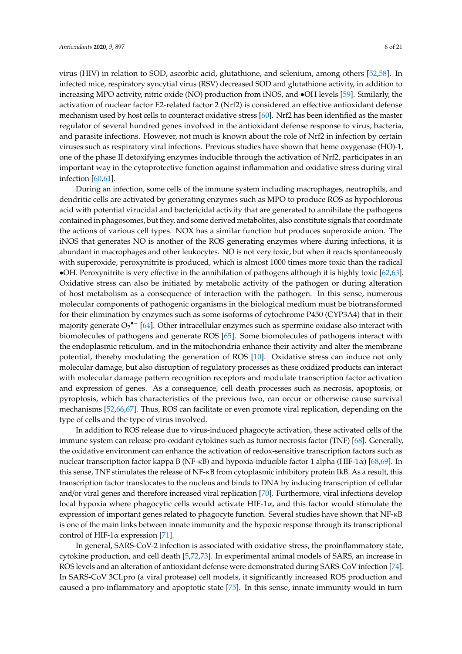virus (HIV) in relation to SOD, ascorbic acid, glutathione, and selenium, among others [52,58]. In infected mice, respiratory syncytial virus (RSV) decreased SOD and glutathione activity, in addition to increasing MPO activity, nitric oxide (NO) production from iNOS, and •OH levels [59]. Similarly, the activation of nuclear factor E2-related factor 2 (Nrf2) is considered an effective antioxidant defense mechanism used by host cells to counteract oxidative stress [60]. Nrf2 has been identified as the master regulator of several hundred genes involved in the antioxidant defense response to virus, bacteria, and parasite infections. However, not much is known about the role of Nrf2 in infection by certain viruses such as respiratory viral infections. Previous studies have shown that heme oxygenase (HO)-1, one of the phase II detoxifying enzymes inducible through the activation of Nrf2, participates in an important way in the cytoprotective function against inflammation and oxidative stress during viral infection [60,61].

During an infection, some cells of the immune system including macrophages, neutrophils, and dendritic cells are activated by generating enzymes such as MPO to produce ROS as hypochlorous acid with potential virucidal and bactericidal activity that are generated to annihilate the pathogens contained in phagosomes, but they, and some derived metabolites, also constitute signals that coordinate the actions of various cell types. NOX has a similar function but produces superoxide anion. The iNOS that generates NO is another of the ROS generating enzymes where during infections, it is abundant in macrophages and other leukocytes. NO is not very toxic, but when it reacts spontaneously with superoxide, peroxynitrite is produced, which is almost 1000 times more toxic than the radical •OH. Peroxynitrite is very effective in the annihilation of pathogens although it is highly toxic [62,63]. Oxidative stress can also be initiated by metabolic activity of the pathogen or during alteration of host metabolism as a consequence of interaction with the pathogen. In this sense, numerous molecular components of pathogenic organisms in the biological medium must be biotransformed for their elimination by enzymes such as some isoforms of cytochrome P450 (CYP3A4) that in their majority generate  $O_2$ <sup>•–</sup> [64]. Other intracellular enzymes such as spermine oxidase also interact with biomolecules of pathogens and generate ROS [65]. Some biomolecules of pathogens interact with the endoplasmic reticulum, and in the mitochondria enhance their activity and alter the membrane potential, thereby modulating the generation of ROS [10]. Oxidative stress can induce not only molecular damage, but also disruption of regulatory processes as these oxidized products can interact with molecular damage pattern recognition receptors and modulate transcription factor activation and expression of genes. As a consequence, cell death processes such as necrosis, apoptosis, or pyroptosis, which has characteristics of the previous two, can occur or otherwise cause survival mechanisms [52,66,67]. Thus, ROS can facilitate or even promote viral replication, depending on the type of cells and the type of virus involved.

In addition to ROS release due to virus-induced phagocyte activation, these activated cells of the immune system can release pro-oxidant cytokines such as tumor necrosis factor (TNF) [68]. Generally, the oxidative environment can enhance the activation of redox-sensitive transcription factors such as nuclear transcription factor kappa B (NF-κB) and hypoxia-inducible factor 1 alpha (HIF-1α) [68,69]. In this sense, TNF stimulates the release of NF-κB from cytoplasmic inhibitory protein IkB. As a result, this transcription factor translocates to the nucleus and binds to DNA by inducing transcription of cellular and/or viral genes and therefore increased viral replication [70]. Furthermore, viral infections develop local hypoxia where phagocytic cells would activate HIF-1 $\alpha$ , and this factor would stimulate the expression of important genes related to phagocyte function. Several studies have shown that NF-κB is one of the main links between innate immunity and the hypoxic response through its transcriptional control of HIF-1 $\alpha$  expression [71].

In general, SARS-CoV-2 infection is associated with oxidative stress, the proinflammatory state, cytokine production, and cell death [5,72,73]. In experimental animal models of SARS, an increase in ROS levels and an alteration of antioxidant defense were demonstrated during SARS-CoV infection [74]. In SARS-CoV 3CLpro (a viral protease) cell models, it significantly increased ROS production and caused a pro-inflammatory and apoptotic state [75]. In this sense, innate immunity would in turn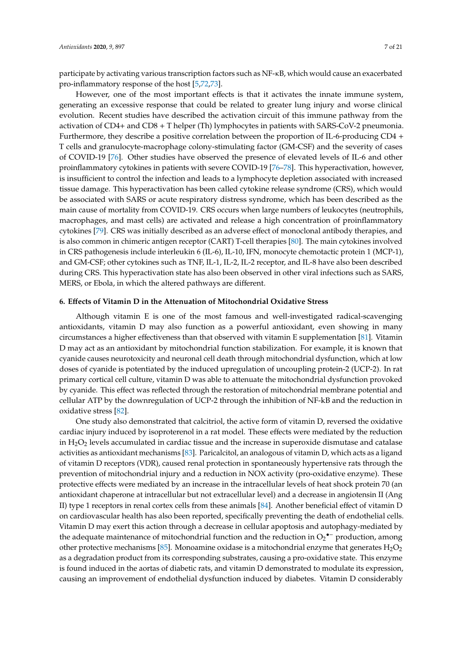participate by activating various transcription factors such as NF-κB, which would cause an exacerbated pro-inflammatory response of the host [5,72,73].

However, one of the most important effects is that it activates the innate immune system, generating an excessive response that could be related to greater lung injury and worse clinical evolution. Recent studies have described the activation circuit of this immune pathway from the activation of CD4+ and CD8 + T helper (Th) lymphocytes in patients with SARS-CoV-2 pneumonia. Furthermore, they describe a positive correlation between the proportion of IL-6-producing CD4 + T cells and granulocyte-macrophage colony-stimulating factor (GM-CSF) and the severity of cases of COVID-19 [76]. Other studies have observed the presence of elevated levels of IL-6 and other proinflammatory cytokines in patients with severe COVID-19 [76–78]. This hyperactivation, however, is insufficient to control the infection and leads to a lymphocyte depletion associated with increased tissue damage. This hyperactivation has been called cytokine release syndrome (CRS), which would be associated with SARS or acute respiratory distress syndrome, which has been described as the main cause of mortality from COVID-19. CRS occurs when large numbers of leukocytes (neutrophils, macrophages, and mast cells) are activated and release a high concentration of proinflammatory cytokines [79]. CRS was initially described as an adverse effect of monoclonal antibody therapies, and is also common in chimeric antigen receptor (CART) T-cell therapies [80]. The main cytokines involved in CRS pathogenesis include interleukin 6 (IL-6), IL-10, IFN, monocyte chemotactic protein 1 (MCP-1), and GM-CSF; other cytokines such as TNF, IL-1, IL-2, IL-2 receptor, and IL-8 have also been described during CRS. This hyperactivation state has also been observed in other viral infections such as SARS, MERS, or Ebola, in which the altered pathways are different.

# **6. E**ff**ects of Vitamin D in the Attenuation of Mitochondrial Oxidative Stress**

Although vitamin E is one of the most famous and well-investigated radical-scavenging antioxidants, vitamin D may also function as a powerful antioxidant, even showing in many circumstances a higher effectiveness than that observed with vitamin E supplementation [81]. Vitamin D may act as an antioxidant by mitochondrial function stabilization. For example, it is known that cyanide causes neurotoxicity and neuronal cell death through mitochondrial dysfunction, which at low doses of cyanide is potentiated by the induced upregulation of uncoupling protein-2 (UCP-2). In rat primary cortical cell culture, vitamin D was able to attenuate the mitochondrial dysfunction provoked by cyanide. This effect was reflected through the restoration of mitochondrial membrane potential and cellular ATP by the downregulation of UCP-2 through the inhibition of NF-kB and the reduction in oxidative stress [82].

One study also demonstrated that calcitriol, the active form of vitamin D, reversed the oxidative cardiac injury induced by isoproterenol in a rat model. These effects were mediated by the reduction in  $H_2O_2$  levels accumulated in cardiac tissue and the increase in superoxide dismutase and catalase activities as antioxidant mechanisms [83]. Paricalcitol, an analogous of vitamin D, which acts as a ligand of vitamin D receptors (VDR), caused renal protection in spontaneously hypertensive rats through the prevention of mitochondrial injury and a reduction in NOX activity (pro-oxidative enzyme). These protective effects were mediated by an increase in the intracellular levels of heat shock protein 70 (an antioxidant chaperone at intracellular but not extracellular level) and a decrease in angiotensin II (Ang II) type 1 receptors in renal cortex cells from these animals [84]. Another beneficial effect of vitamin D on cardiovascular health has also been reported, specifically preventing the death of endothelial cells. Vitamin D may exert this action through a decrease in cellular apoptosis and autophagy-mediated by the adequate maintenance of mitochondrial function and the reduction in  $O_2$ <sup>•–</sup> production, among other protective mechanisms [85]. Monoamine oxidase is a mitochondrial enzyme that generates  $H_2O_2$ as a degradation product from its corresponding substrates, causing a pro-oxidative state. This enzyme is found induced in the aortas of diabetic rats, and vitamin D demonstrated to modulate its expression, causing an improvement of endothelial dysfunction induced by diabetes. Vitamin D considerably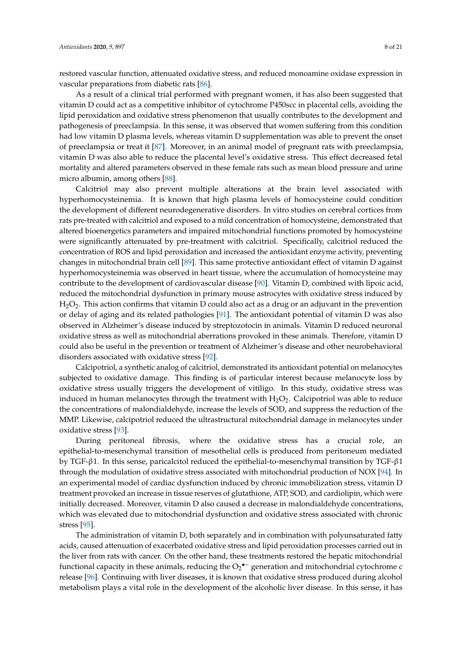restored vascular function, attenuated oxidative stress, and reduced monoamine oxidase expression in vascular preparations from diabetic rats [86].

As a result of a clinical trial performed with pregnant women, it has also been suggested that vitamin D could act as a competitive inhibitor of cytochrome P450scc in placental cells, avoiding the lipid peroxidation and oxidative stress phenomenon that usually contributes to the development and pathogenesis of preeclampsia. In this sense, it was observed that women suffering from this condition had low vitamin D plasma levels, whereas vitamin D supplementation was able to prevent the onset of preeclampsia or treat it [87]. Moreover, in an animal model of pregnant rats with preeclampsia, vitamin D was also able to reduce the placental level's oxidative stress. This effect decreased fetal mortality and altered parameters observed in these female rats such as mean blood pressure and urine micro albumin, among others [88].

Calcitriol may also prevent multiple alterations at the brain level associated with hyperhomocysteinemia. It is known that high plasma levels of homocysteine could condition the development of different neurodegenerative disorders. In vitro studies on cerebral cortices from rats pre-treated with calcitriol and exposed to a mild concentration of homocysteine, demonstrated that altered bioenergetics parameters and impaired mitochondrial functions promoted by homocysteine were significantly attenuated by pre-treatment with calcitriol. Specifically, calcitriol reduced the concentration of ROS and lipid peroxidation and increased the antioxidant enzyme activity, preventing changes in mitochondrial brain cell [89]. This same protective antioxidant effect of vitamin D against hyperhomocysteinemia was observed in heart tissue, where the accumulation of homocysteine may contribute to the development of cardiovascular disease [90]. Vitamin D, combined with lipoic acid, reduced the mitochondrial dysfunction in primary mouse astrocytes with oxidative stress induced by  $H<sub>2</sub>O<sub>2</sub>$ . This action confirms that vitamin D could also act as a drug or an adjuvant in the prevention or delay of aging and its related pathologies [91]. The antioxidant potential of vitamin D was also observed in Alzheimer's disease induced by streptozotocin in animals. Vitamin D reduced neuronal oxidative stress as well as mitochondrial aberrations provoked in these animals. Therefore, vitamin D could also be useful in the prevention or treatment of Alzheimer's disease and other neurobehavioral disorders associated with oxidative stress [92].

Calcipotriol, a synthetic analog of calcitriol, demonstrated its antioxidant potential on melanocytes subjected to oxidative damage. This finding is of particular interest because melanocyte loss by oxidative stress usually triggers the development of vitiligo. In this study, oxidative stress was induced in human melanocytes through the treatment with  $H_2O_2$ . Calcipotriol was able to reduce the concentrations of malondialdehyde, increase the levels of SOD, and suppress the reduction of the MMP. Likewise, calcipotriol reduced the ultrastructural mitochondrial damage in melanocytes under oxidative stress [93].

During peritoneal fibrosis, where the oxidative stress has a crucial role, an epithelial-to-mesenchymal transition of mesothelial cells is produced from peritoneum mediated by TGF-β1. In this sense, paricalcitol reduced the epithelial-to-mesenchymal transition by TGF-β1 through the modulation of oxidative stress associated with mitochondrial production of NOX [94]. In an experimental model of cardiac dysfunction induced by chronic immobilization stress, vitamin D treatment provoked an increase in tissue reserves of glutathione, ATP, SOD, and cardiolipin, which were initially decreased. Moreover, vitamin D also caused a decrease in malondialdehyde concentrations, which was elevated due to mitochondrial dysfunction and oxidative stress associated with chronic stress [95].

The administration of vitamin D, both separately and in combination with polyunsaturated fatty acids, caused attenuation of exacerbated oxidative stress and lipid peroxidation processes carried out in the liver from rats with cancer. On the other hand, these treatments restored the hepatic mitochondrial functional capacity in these animals, reducing the  $O_2$ <sup>•–</sup> generation and mitochondrial cytochrome c release [96]. Continuing with liver diseases, it is known that oxidative stress produced during alcohol metabolism plays a vital role in the development of the alcoholic liver disease. In this sense, it has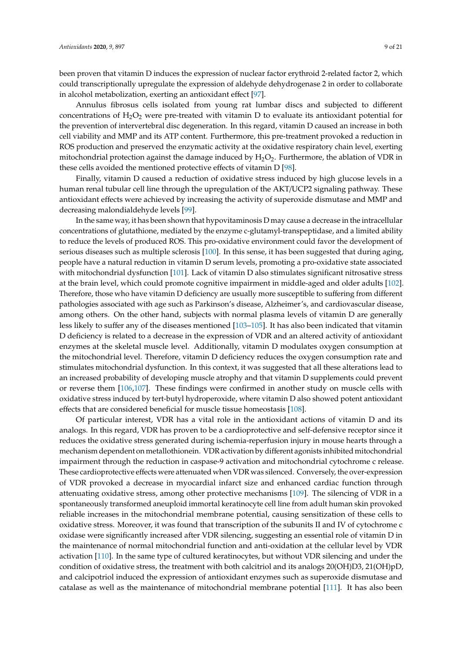been proven that vitamin D induces the expression of nuclear factor erythroid 2-related factor 2, which could transcriptionally upregulate the expression of aldehyde dehydrogenase 2 in order to collaborate in alcohol metabolization, exerting an antioxidant effect [97].

Annulus fibrosus cells isolated from young rat lumbar discs and subjected to different concentrations of  $H_2O_2$  were pre-treated with vitamin D to evaluate its antioxidant potential for the prevention of intervertebral disc degeneration. In this regard, vitamin D caused an increase in both cell viability and MMP and its ATP content. Furthermore, this pre-treatment provoked a reduction in ROS production and preserved the enzymatic activity at the oxidative respiratory chain level, exerting mitochondrial protection against the damage induced by  $H_2O_2$ . Furthermore, the ablation of VDR in these cells avoided the mentioned protective effects of vitamin D [98].

Finally, vitamin D caused a reduction of oxidative stress induced by high glucose levels in a human renal tubular cell line through the upregulation of the AKT/UCP2 signaling pathway. These antioxidant effects were achieved by increasing the activity of superoxide dismutase and MMP and decreasing malondialdehyde levels [99].

In the same way, it has been shown that hypovitaminosis D may cause a decrease in the intracellular concentrations of glutathione, mediated by the enzyme c-glutamyl-transpeptidase, and a limited ability to reduce the levels of produced ROS. This pro-oxidative environment could favor the development of serious diseases such as multiple sclerosis [100]. In this sense, it has been suggested that during aging, people have a natural reduction in vitamin D serum levels, promoting a pro-oxidative state associated with mitochondrial dysfunction [101]. Lack of vitamin D also stimulates significant nitrosative stress at the brain level, which could promote cognitive impairment in middle-aged and older adults [102]. Therefore, those who have vitamin D deficiency are usually more susceptible to suffering from different pathologies associated with age such as Parkinson's disease, Alzheimer's, and cardiovascular disease, among others. On the other hand, subjects with normal plasma levels of vitamin D are generally less likely to suffer any of the diseases mentioned [103–105]. It has also been indicated that vitamin D deficiency is related to a decrease in the expression of VDR and an altered activity of antioxidant enzymes at the skeletal muscle level. Additionally, vitamin D modulates oxygen consumption at the mitochondrial level. Therefore, vitamin D deficiency reduces the oxygen consumption rate and stimulates mitochondrial dysfunction. In this context, it was suggested that all these alterations lead to an increased probability of developing muscle atrophy and that vitamin D supplements could prevent or reverse them [106,107]. These findings were confirmed in another study on muscle cells with oxidative stress induced by tert-butyl hydroperoxide, where vitamin D also showed potent antioxidant effects that are considered beneficial for muscle tissue homeostasis [108].

Of particular interest, VDR has a vital role in the antioxidant actions of vitamin D and its analogs. In this regard, VDR has proven to be a cardioprotective and self-defensive receptor since it reduces the oxidative stress generated during ischemia-reperfusion injury in mouse hearts through a mechanism dependent on metallothionein. VDR activation by different agonists inhibited mitochondrial impairment through the reduction in caspase-9 activation and mitochondrial cytochrome c release. These cardioprotective effects were attenuated when VDR was silenced. Conversely, the over-expression of VDR provoked a decrease in myocardial infarct size and enhanced cardiac function through attenuating oxidative stress, among other protective mechanisms [109]. The silencing of VDR in a spontaneously transformed aneuploid immortal keratinocyte cell line from adult human skin provoked reliable increases in the mitochondrial membrane potential, causing sensitization of these cells to oxidative stress. Moreover, it was found that transcription of the subunits II and IV of cytochrome c oxidase were significantly increased after VDR silencing, suggesting an essential role of vitamin D in the maintenance of normal mitochondrial function and anti-oxidation at the cellular level by VDR activation [110]. In the same type of cultured keratinocytes, but without VDR silencing and under the condition of oxidative stress, the treatment with both calcitriol and its analogs 20(OH)D3, 21(OH)pD, and calcipotriol induced the expression of antioxidant enzymes such as superoxide dismutase and catalase as well as the maintenance of mitochondrial membrane potential [111]. It has also been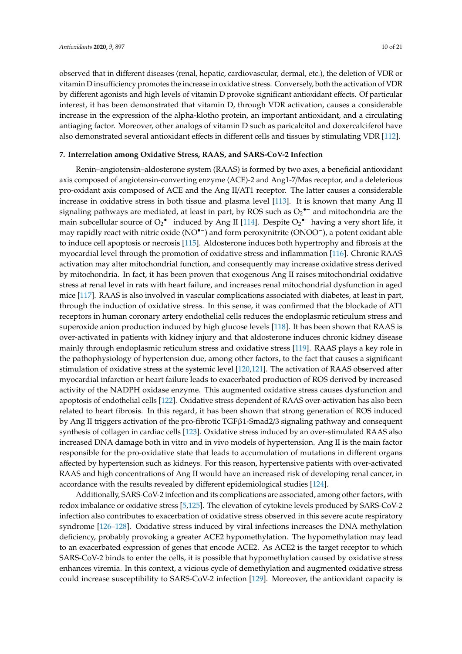observed that in different diseases (renal, hepatic, cardiovascular, dermal, etc.), the deletion of VDR or vitamin D insufficiency promotes the increase in oxidative stress. Conversely, both the activation of VDR by different agonists and high levels of vitamin D provoke significant antioxidant effects. Of particular interest, it has been demonstrated that vitamin D, through VDR activation, causes a considerable increase in the expression of the alpha-klotho protein, an important antioxidant, and a circulating antiaging factor. Moreover, other analogs of vitamin D such as paricalcitol and doxercalciferol have also demonstrated several antioxidant effects in different cells and tissues by stimulating VDR [112].

### **7. Interrelation among Oxidative Stress, RAAS, and SARS-CoV-2 Infection**

Renin–angiotensin–aldosterone system (RAAS) is formed by two axes, a beneficial antioxidant axis composed of angiotensin-converting enzyme (ACE)-2 and Ang1-7/Mas receptor, and a deleterious pro-oxidant axis composed of ACE and the Ang II/AT1 receptor. The latter causes a considerable increase in oxidative stress in both tissue and plasma level [113]. It is known that many Ang II signaling pathways are mediated, at least in part, by ROS such as  $O_2$ <sup>•-</sup> and mitochondria are the main subcellular source of  $O_2$ <sup>•–</sup> induced by Ang II [114]. Despite  $O_2$ <sup>•–</sup> having a very short life, it may rapidly react with nitric oxide (NO•−) and form peroxynitrite (ONOO−), a potent oxidant able to induce cell apoptosis or necrosis [115]. Aldosterone induces both hypertrophy and fibrosis at the myocardial level through the promotion of oxidative stress and inflammation [116]. Chronic RAAS activation may alter mitochondrial function, and consequently may increase oxidative stress derived by mitochondria. In fact, it has been proven that exogenous Ang II raises mitochondrial oxidative stress at renal level in rats with heart failure, and increases renal mitochondrial dysfunction in aged mice [117]. RAAS is also involved in vascular complications associated with diabetes, at least in part, through the induction of oxidative stress. In this sense, it was confirmed that the blockade of AT1 receptors in human coronary artery endothelial cells reduces the endoplasmic reticulum stress and superoxide anion production induced by high glucose levels [118]. It has been shown that RAAS is over-activated in patients with kidney injury and that aldosterone induces chronic kidney disease mainly through endoplasmic reticulum stress and oxidative stress [119]. RAAS plays a key role in the pathophysiology of hypertension due, among other factors, to the fact that causes a significant stimulation of oxidative stress at the systemic level [120,121]. The activation of RAAS observed after myocardial infarction or heart failure leads to exacerbated production of ROS derived by increased activity of the NADPH oxidase enzyme. This augmented oxidative stress causes dysfunction and apoptosis of endothelial cells [122]. Oxidative stress dependent of RAAS over-activation has also been related to heart fibrosis. In this regard, it has been shown that strong generation of ROS induced by Ang II triggers activation of the pro-fibrotic TGFβ1-Smad2/3 signaling pathway and consequent synthesis of collagen in cardiac cells [123]. Oxidative stress induced by an over-stimulated RAAS also increased DNA damage both in vitro and in vivo models of hypertension. Ang II is the main factor responsible for the pro-oxidative state that leads to accumulation of mutations in different organs affected by hypertension such as kidneys. For this reason, hypertensive patients with over-activated RAAS and high concentrations of Ang II would have an increased risk of developing renal cancer, in accordance with the results revealed by different epidemiological studies [124].

Additionally, SARS-CoV-2 infection and its complications are associated, among other factors, with redox imbalance or oxidative stress [5,125]. The elevation of cytokine levels produced by SARS-CoV-2 infection also contributes to exacerbation of oxidative stress observed in this severe acute respiratory syndrome [126–128]. Oxidative stress induced by viral infections increases the DNA methylation deficiency, probably provoking a greater ACE2 hypomethylation. The hypomethylation may lead to an exacerbated expression of genes that encode ACE2. As ACE2 is the target receptor to which SARS-CoV-2 binds to enter the cells, it is possible that hypomethylation caused by oxidative stress enhances viremia. In this context, a vicious cycle of demethylation and augmented oxidative stress could increase susceptibility to SARS-CoV-2 infection [129]. Moreover, the antioxidant capacity is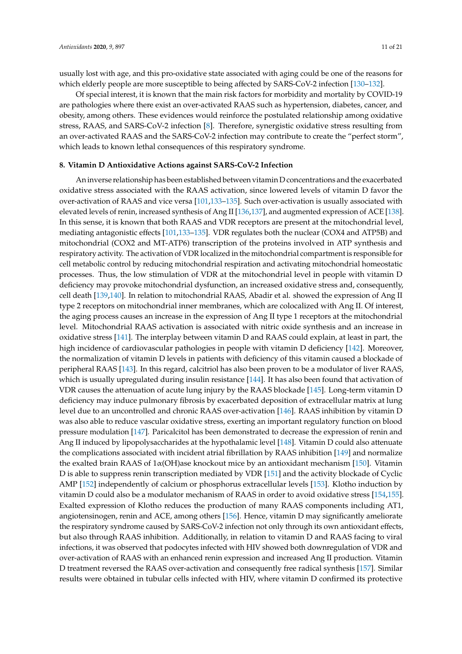usually lost with age, and this pro-oxidative state associated with aging could be one of the reasons for which elderly people are more susceptible to being affected by SARS-CoV-2 infection [130–132].

Of special interest, it is known that the main risk factors for morbidity and mortality by COVID-19 are pathologies where there exist an over-activated RAAS such as hypertension, diabetes, cancer, and obesity, among others. These evidences would reinforce the postulated relationship among oxidative stress, RAAS, and SARS-CoV-2 infection [8]. Therefore, synergistic oxidative stress resulting from an over-activated RAAS and the SARS-CoV-2 infection may contribute to create the "perfect storm", which leads to known lethal consequences of this respiratory syndrome.

### **8. Vitamin D Antioxidative Actions against SARS-CoV-2 Infection**

An inverse relationship has been established between vitamin D concentrations and the exacerbated oxidative stress associated with the RAAS activation, since lowered levels of vitamin D favor the over-activation of RAAS and vice versa [101,133–135]. Such over-activation is usually associated with elevated levels of renin, increased synthesis of Ang II [136,137], and augmented expression of ACE [138]. In this sense, it is known that both RAAS and VDR receptors are present at the mitochondrial level, mediating antagonistic effects [101,133–135]. VDR regulates both the nuclear (COX4 and ATP5B) and mitochondrial (COX2 and MT-ATP6) transcription of the proteins involved in ATP synthesis and respiratory activity. The activation of VDR localized in the mitochondrial compartment is responsible for cell metabolic control by reducing mitochondrial respiration and activating mitochondrial homeostatic processes. Thus, the low stimulation of VDR at the mitochondrial level in people with vitamin D deficiency may provoke mitochondrial dysfunction, an increased oxidative stress and, consequently, cell death [139,140]. In relation to mitochondrial RAAS, Abadir et al. showed the expression of Ang II type 2 receptors on mitochondrial inner membranes, which are colocalized with Ang II. Of interest, the aging process causes an increase in the expression of Ang II type 1 receptors at the mitochondrial level. Mitochondrial RAAS activation is associated with nitric oxide synthesis and an increase in oxidative stress [141]. The interplay between vitamin D and RAAS could explain, at least in part, the high incidence of cardiovascular pathologies in people with vitamin D deficiency [142]. Moreover, the normalization of vitamin D levels in patients with deficiency of this vitamin caused a blockade of peripheral RAAS [143]. In this regard, calcitriol has also been proven to be a modulator of liver RAAS, which is usually upregulated during insulin resistance [144]. It has also been found that activation of VDR causes the attenuation of acute lung injury by the RAAS blockade [145]. Long-term vitamin D deficiency may induce pulmonary fibrosis by exacerbated deposition of extracellular matrix at lung level due to an uncontrolled and chronic RAAS over-activation [146]. RAAS inhibition by vitamin D was also able to reduce vascular oxidative stress, exerting an important regulatory function on blood pressure modulation [147]. Paricalcitol has been demonstrated to decrease the expression of renin and Ang II induced by lipopolysaccharides at the hypothalamic level [148]. Vitamin D could also attenuate the complications associated with incident atrial fibrillation by RAAS inhibition [149] and normalize the exalted brain RAAS of  $1\alpha$ (OH)ase knockout mice by an antioxidant mechanism [150]. Vitamin D is able to suppress renin transcription mediated by VDR [151] and the activity blockade of Cyclic AMP [152] independently of calcium or phosphorus extracellular levels [153]. Klotho induction by vitamin D could also be a modulator mechanism of RAAS in order to avoid oxidative stress [154,155]. Exalted expression of Klotho reduces the production of many RAAS components including AT1, angiotensinogen, renin and ACE, among others [156]. Hence, vitamin D may significantly ameliorate the respiratory syndrome caused by SARS-CoV-2 infection not only through its own antioxidant effects, but also through RAAS inhibition. Additionally, in relation to vitamin D and RAAS facing to viral infections, it was observed that podocytes infected with HIV showed both downregulation of VDR and over-activation of RAAS with an enhanced renin expression and increased Ang II production. Vitamin D treatment reversed the RAAS over-activation and consequently free radical synthesis [157]. Similar results were obtained in tubular cells infected with HIV, where vitamin D confirmed its protective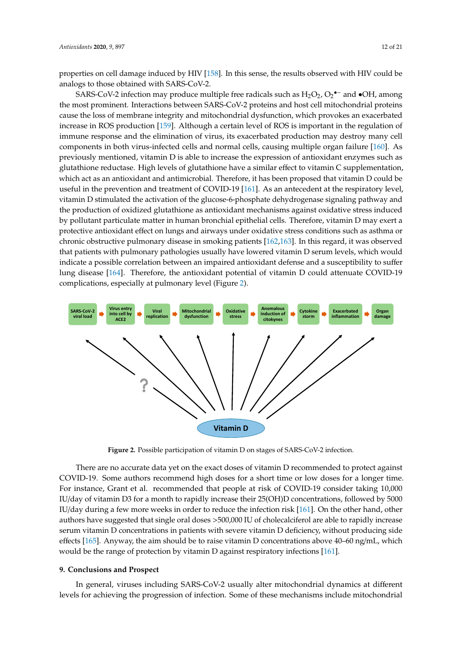properties on cell damage induced by HIV [158]. In this sense, the results observed with HIV could be analogs to those obtained with SARS-CoV-2.

SARS-CoV-2 infection may produce multiple free radicals such as  $\text{H}_{2}\text{O}_{2}$ ,  $\text{O}_{2}$ <sup>•–</sup> and •OH, among the most prominent. Interactions between SARS-CoV-2 proteins and host cell mitochondrial proteins cause the loss of membrane integrity and mitochondrial dysfunction, which provokes an exacerbated increase in ROS production [159]. Although a certain level of ROS is important in the regulation of immune response and the elimination of virus, its exacerbated production may destroy many cell components in both virus-infected cells and normal cells, causing multiple organ failure [160]. As previously mentioned, vitamin D is able to increase the expression of antioxidant enzymes such as previously mentioned, vitamin D is able to increase the expression of antioxidant enzymes such as glutathione reductase. High levels of glutathione have a similar effect to vitamin C supplementation, glutathione reductase. High levels of glutathione have a similar effect to vitamin C supplementation, which act as an antioxidant and antimicrobial. Therefore, it has been proposed that vitamin D could be which act as an antioxidant and antimicrobial. Therefore, it has been proposed that vitamin D could useful in the prevention and treatment of COVID-19 [161]. As an antecedent at the respiratory level, vitamin D stimulated the activation of the glucose-6-phosphate dehydrogenase signaling pathway and the production of oxidized glutathione as antioxidant mechanisms against oxidative stress induced by pollutant particulate matter in human bronchial epithelial cells. Therefore, vitamin D may exert a protective antioxidant effect on lungs and airways under oxidative stress conditions such as asthma or chronic obstructive pulmonary disease in smoking patients [162,163]. In this regard, it was observed that patients with pulmonary pathologies usually have lowered vitamin D serum levels, which would indicate a possible correlation between an impaired antioxidant defense and a susceptibility to suffer lung disease [164]. Therefore, the antioxidant potential of vitamin D could attenuate COVID-19 complications, especially at pulmonary level (Figure 2).



**Figure 2.** Possible participation of vitamin D on stages of SARS-CoV-2 infection. **Figure 2.** Possible participation of vitamin D on stages of SARS-CoV-2 infection.

There are no accurate data yet on the exact doses of vitamin D recommended to protect against There are no accurate data yet on the exact doses of vitamin D recommended to protect against COVID-19. Some authors recommend high doses for a short time or low doses for a longer time. For instance, Grant et al. recommended that people at risk of COVID-19 consider taking 10,000 IU/day of vitamin D3 for a month to rapidly increase their 25(OH)D concentrations, followed by 5000 IU/day during a few more weeks in order to reduce the infection risk [161]. On the other hand, other authors have suggested that single oral doses >500,000 IU of cholecalciferol are able to rapidly increase serum vitamin D concentrations in patients with severe vitamin D deficiency, without producing side effects [165]. Anyway, the aim should be to raise vitamin D concentrations above 40–60 ng/mL, which be the range of protection by vitamin D against respiratory infections [161]. would be the range of protection by vitamin D against respiratory infections [161].

# **9. Conclusions and Prospect 9. Conclusions and Prospect**

In general, viruses including SARS-CoV-2 usually alter mitochondrial dynamics at different In general, viruses including SARS-CoV-2 usually alter mitochondrial dynamics at different levels for achieving the progression of infection. Some of these mechanisms include mitochondrial levels for achieving the progression of infection. Some of these mechanisms include mitochondrial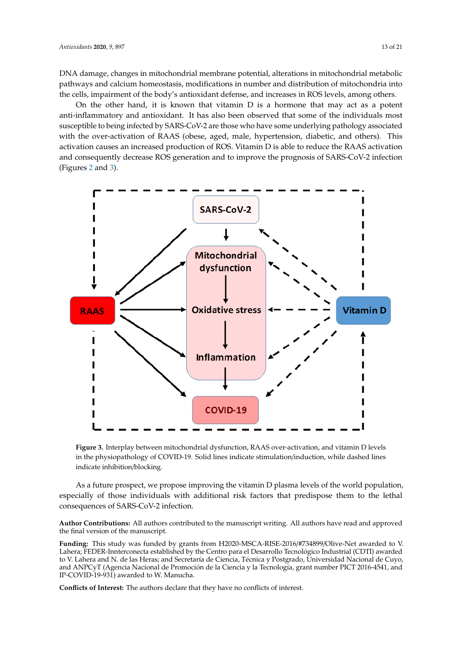DNA damage, changes in mitochondrial membrane potential, alterations in mitochondrial metabolic pathways and calcium homeostasis, modifications in number and distribution of mitochondria into the cells, impairment of the body's antioxidant defense, and increases in ROS levels, among others.

On the other hand, it is known that vitamin D is a hormone that may act as a potent anti-inflammatory and antioxidant. It has also been observed that some of the individuals most susceptible to being infected by SARS-CoV-2 are those who have some underlying pathology associated with the over-activation of RAAS (obese, aged, male, hypertension, diabetic, and others). This activation causes an increased production of ROS. Vitamin D is able to reduce the RAAS activation and consequently decrease ROS generation and to improve the prognosis of SARS-CoV-2 infection (Figures 2 and 3).



**Figure 3.** Interplay between mitochondrial dysfunction, RAAS over-activation, and vitamin D levels in the physiopathology of COVID-19. Solid lines indicate stimulation/induction, while dashed lines indicate inhibition/blocking.

As a future prospect, we propose improving the vitamin D plasma levels of the world population, especially of those individuals with additional risk factors that predispose them to the lethal consequences of SARS-CoV-2 infection.

**Author Contributions:** All authors contributed to the manuscript writing. All authors have read and approved the final version of the manuscript.

**Funding:** This study was funded by grants from H2020-MSCA-RISE-2016/#734899/Olive-Net awarded to V. Lahera; FEDER-Innterconecta established by the Centro para el Desarrollo Tecnológico Industrial (CDTI) awarded to V. Lahera and N. de las Heras; and Secretaría de Ciencia, Técnica y Postgrado, Universidad Nacional de Cuyo, and ANPCyT (Agencia Nacional de Promoción de la Ciencia y la Tecnología, grant number PICT 2016-4541, and IP-COVID-19-931) awarded to W. Manucha.

**Conflicts of Interest:** The authors declare that they have no conflicts of interest.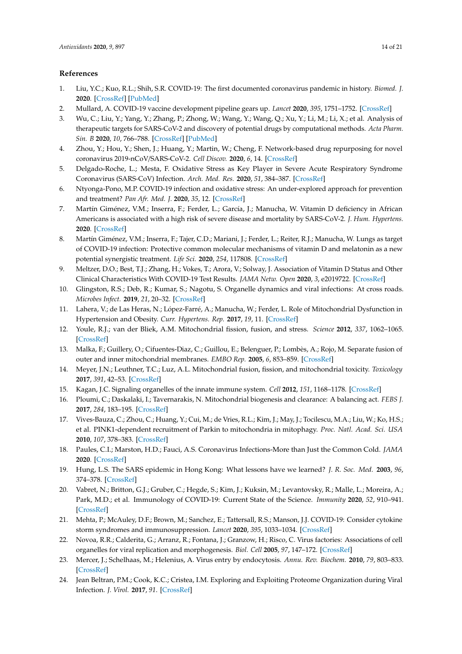# **References**

- 1. Liu, Y.C.; Kuo, R.L.; Shih, S.R. COVID-19: The first documented coronavirus pandemic in history. *Biomed. J.* **2020**. [CrossRef] [PubMed]
- 2. Mullard, A. COVID-19 vaccine development pipeline gears up. *Lancet* **2020**, *395*, 1751–1752. [CrossRef]
- 3. Wu, C.; Liu, Y.; Yang, Y.; Zhang, P.; Zhong, W.; Wang, Y.; Wang, Q.; Xu, Y.; Li, M.; Li, X.; et al. Analysis of therapeutic targets for SARS-CoV-2 and discovery of potential drugs by computational methods. *Acta Pharm. Sin. B* **2020**, *10*, 766–788. [CrossRef] [PubMed]
- 4. Zhou, Y.; Hou, Y.; Shen, J.; Huang, Y.; Martin, W.; Cheng, F. Network-based drug repurposing for novel coronavirus 2019-nCoV/SARS-CoV-2. *Cell Discov.* **2020**, *6*, 14. [CrossRef]
- 5. Delgado-Roche, L.; Mesta, F. Oxidative Stress as Key Player in Severe Acute Respiratory Syndrome Coronavirus (SARS-CoV) Infection. *Arch. Med. Res.* **2020**, *51*, 384–387. [CrossRef]
- 6. Ntyonga-Pono, M.P. COVID-19 infection and oxidative stress: An under-explored approach for prevention and treatment? *Pan Afr. Med. J.* **2020**, *35*, 12. [CrossRef]
- 7. Martín Giménez, V.M.; Inserra, F.; Ferder, L.; García, J.; Manucha, W. Vitamin D deficiency in African Americans is associated with a high risk of severe disease and mortality by SARS-CoV-2. *J. Hum. Hypertens.* **2020**. [CrossRef]
- 8. Martín Giménez, V.M.; Inserra, F.; Tajer, C.D.; Mariani, J.; Ferder, L.; Reiter, R.J.; Manucha, W. Lungs as target of COVID-19 infection: Protective common molecular mechanisms of vitamin D and melatonin as a new potential synergistic treatment. *Life Sci.* **2020**, *254*, 117808. [CrossRef]
- 9. Meltzer, D.O.; Best, T.J.; Zhang, H.; Vokes, T.; Arora, V.; Solway, J. Association of Vitamin D Status and Other Clinical Characteristics With COVID-19 Test Results. *JAMA Netw. Open* **2020**, *3*, e2019722. [CrossRef]
- 10. Glingston, R.S.; Deb, R.; Kumar, S.; Nagotu, S. Organelle dynamics and viral infections: At cross roads. *Microbes Infect.* **2019**, *21*, 20–32. [CrossRef]
- 11. Lahera, V.; de Las Heras, N.; López-Farré, A.; Manucha, W.; Ferder, L. Role of Mitochondrial Dysfunction in Hypertension and Obesity. *Curr. Hypertens. Rep.* **2017**, *19*, 11. [CrossRef]
- 12. Youle, R.J.; van der Bliek, A.M. Mitochondrial fission, fusion, and stress. *Science* **2012**, *337*, 1062–1065. [CrossRef]
- 13. Malka, F.; Guillery, O.; Cifuentes-Diaz, C.; Guillou, E.; Belenguer, P.; Lombès, A.; Rojo, M. Separate fusion of outer and inner mitochondrial membranes. *EMBO Rep.* **2005**, *6*, 853–859. [CrossRef]
- 14. Meyer, J.N.; Leuthner, T.C.; Luz, A.L. Mitochondrial fusion, fission, and mitochondrial toxicity. *Toxicology* **2017**, *391*, 42–53. [CrossRef]
- 15. Kagan, J.C. Signaling organelles of the innate immune system. *Cell* **2012**, *151*, 1168–1178. [CrossRef]
- 16. Ploumi, C.; Daskalaki, I.; Tavernarakis, N. Mitochondrial biogenesis and clearance: A balancing act. *FEBS J.* **2017**, *284*, 183–195. [CrossRef]
- 17. Vives-Bauza, C.; Zhou, C.; Huang, Y.; Cui, M.; de Vries, R.L.; Kim, J.; May, J.; Tocilescu, M.A.; Liu, W.; Ko, H.S.; et al. PINK1-dependent recruitment of Parkin to mitochondria in mitophagy. *Proc. Natl. Acad. Sci. USA* **2010**, *107*, 378–383. [CrossRef]
- 18. Paules, C.I.; Marston, H.D.; Fauci, A.S. Coronavirus Infections-More than Just the Common Cold. *JAMA* **2020**. [CrossRef]
- 19. Hung, L.S. The SARS epidemic in Hong Kong: What lessons have we learned? *J. R. Soc. Med.* **2003**, *96*, 374–378. [CrossRef]
- 20. Vabret, N.; Britton, G.J.; Gruber, C.; Hegde, S.; Kim, J.; Kuksin, M.; Levantovsky, R.; Malle, L.; Moreira, A.; Park, M.D.; et al. Immunology of COVID-19: Current State of the Science. *Immunity* **2020**, *52*, 910–941. [CrossRef]
- 21. Mehta, P.; McAuley, D.F.; Brown, M.; Sanchez, E.; Tattersall, R.S.; Manson, J.J. COVID-19: Consider cytokine storm syndromes and immunosuppression. *Lancet* **2020**, *395*, 1033–1034. [CrossRef]
- 22. Novoa, R.R.; Calderita, G.; Arranz, R.; Fontana, J.; Granzow, H.; Risco, C. Virus factories: Associations of cell organelles for viral replication and morphogenesis. *Biol. Cell* **2005**, *97*, 147–172. [CrossRef]
- 23. Mercer, J.; Schelhaas, M.; Helenius, A. Virus entry by endocytosis. *Annu. Rev. Biochem.* **2010**, *79*, 803–833. [CrossRef]
- 24. Jean Beltran, P.M.; Cook, K.C.; Cristea, I.M. Exploring and Exploiting Proteome Organization during Viral Infection. *J. Virol.* **2017**, *91*. [CrossRef]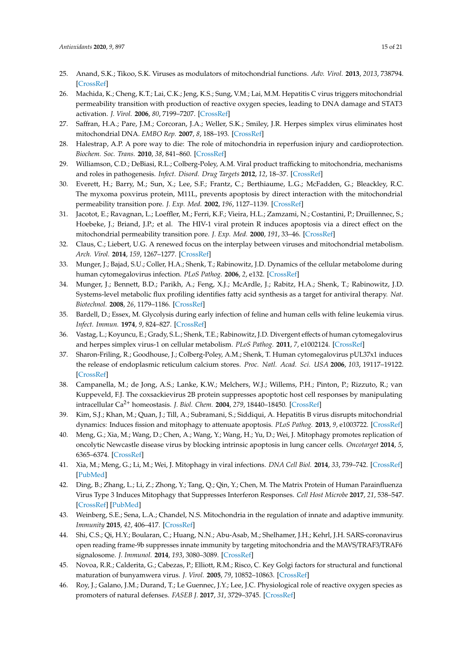- 25. Anand, S.K.; Tikoo, S.K. Viruses as modulators of mitochondrial functions. *Adv. Virol.* **2013**, *2013*, 738794. [CrossRef]
- 26. Machida, K.; Cheng, K.T.; Lai, C.K.; Jeng, K.S.; Sung, V.M.; Lai, M.M. Hepatitis C virus triggers mitochondrial permeability transition with production of reactive oxygen species, leading to DNA damage and STAT3 activation. *J. Virol.* **2006**, *80*, 7199–7207. [CrossRef]
- 27. Saffran, H.A.; Pare, J.M.; Corcoran, J.A.; Weller, S.K.; Smiley, J.R. Herpes simplex virus eliminates host mitochondrial DNA. *EMBO Rep.* **2007**, *8*, 188–193. [CrossRef]
- 28. Halestrap, A.P. A pore way to die: The role of mitochondria in reperfusion injury and cardioprotection. *Biochem. Soc. Trans.* **2010**, *38*, 841–860. [CrossRef]
- 29. Williamson, C.D.; DeBiasi, R.L.; Colberg-Poley, A.M. Viral product trafficking to mitochondria, mechanisms and roles in pathogenesis. *Infect. Disord. Drug Targets* **2012**, *12*, 18–37. [CrossRef]
- 30. Everett, H.; Barry, M.; Sun, X.; Lee, S.F.; Frantz, C.; Berthiaume, L.G.; McFadden, G.; Bleackley, R.C. The myxoma poxvirus protein, M11L, prevents apoptosis by direct interaction with the mitochondrial permeability transition pore. *J. Exp. Med.* **2002**, *196*, 1127–1139. [CrossRef]
- 31. Jacotot, E.; Ravagnan, L.; Loeffler, M.; Ferri, K.F.; Vieira, H.L.; Zamzami, N.; Costantini, P.; Druillennec, S.; Hoebeke, J.; Briand, J.P.; et al. The HIV-1 viral protein R induces apoptosis via a direct effect on the mitochondrial permeability transition pore. *J. Exp. Med.* **2000**, *191*, 33–46. [CrossRef]
- 32. Claus, C.; Liebert, U.G. A renewed focus on the interplay between viruses and mitochondrial metabolism. *Arch. Virol.* **2014**, *159*, 1267–1277. [CrossRef]
- 33. Munger, J.; Bajad, S.U.; Coller, H.A.; Shenk, T.; Rabinowitz, J.D. Dynamics of the cellular metabolome during human cytomegalovirus infection. *PLoS Pathog.* **2006**, *2*, e132. [CrossRef]
- 34. Munger, J.; Bennett, B.D.; Parikh, A.; Feng, X.J.; McArdle, J.; Rabitz, H.A.; Shenk, T.; Rabinowitz, J.D. Systems-level metabolic flux profiling identifies fatty acid synthesis as a target for antiviral therapy. *Nat. Biotechnol.* **2008**, *26*, 1179–1186. [CrossRef]
- 35. Bardell, D.; Essex, M. Glycolysis during early infection of feline and human cells with feline leukemia virus. *Infect. Immun.* **1974**, *9*, 824–827. [CrossRef]
- 36. Vastag, L.; Koyuncu, E.; Grady, S.L.; Shenk, T.E.; Rabinowitz, J.D. Divergent effects of human cytomegalovirus and herpes simplex virus-1 on cellular metabolism. *PLoS Pathog.* **2011**, *7*, e1002124. [CrossRef]
- 37. Sharon-Friling, R.; Goodhouse, J.; Colberg-Poley, A.M.; Shenk, T. Human cytomegalovirus pUL37x1 induces the release of endoplasmic reticulum calcium stores. *Proc. Natl. Acad. Sci. USA* **2006**, *103*, 19117–19122. [CrossRef]
- 38. Campanella, M.; de Jong, A.S.; Lanke, K.W.; Melchers, W.J.; Willems, P.H.; Pinton, P.; Rizzuto, R.; van Kuppeveld, F.J. The coxsackievirus 2B protein suppresses apoptotic host cell responses by manipulating intracellular Ca2<sup>+</sup> homeostasis. *J. Biol. Chem.* **2004**, *279*, 18440–18450. [CrossRef]
- 39. Kim, S.J.; Khan, M.; Quan, J.; Till, A.; Subramani, S.; Siddiqui, A. Hepatitis B virus disrupts mitochondrial dynamics: Induces fission and mitophagy to attenuate apoptosis. *PLoS Pathog.* **2013**, *9*, e1003722. [CrossRef]
- 40. Meng, G.; Xia, M.; Wang, D.; Chen, A.; Wang, Y.; Wang, H.; Yu, D.; Wei, J. Mitophagy promotes replication of oncolytic Newcastle disease virus by blocking intrinsic apoptosis in lung cancer cells. *Oncotarget* **2014**, *5*, 6365–6374. [CrossRef]
- 41. Xia, M.; Meng, G.; Li, M.; Wei, J. Mitophagy in viral infections. *DNA Cell Biol.* **2014**, *33*, 739–742. [CrossRef] [PubMed]
- 42. Ding, B.; Zhang, L.; Li, Z.; Zhong, Y.; Tang, Q.; Qin, Y.; Chen, M. The Matrix Protein of Human Parainfluenza Virus Type 3 Induces Mitophagy that Suppresses Interferon Responses. *Cell Host Microbe* **2017**, *21*, 538–547. [CrossRef] [PubMed]
- 43. Weinberg, S.E.; Sena, L.A.; Chandel, N.S. Mitochondria in the regulation of innate and adaptive immunity. *Immunity* **2015**, *42*, 406–417. [CrossRef]
- 44. Shi, C.S.; Qi, H.Y.; Boularan, C.; Huang, N.N.; Abu-Asab, M.; Shelhamer, J.H.; Kehrl, J.H. SARS-coronavirus open reading frame-9b suppresses innate immunity by targeting mitochondria and the MAVS/TRAF3/TRAF6 signalosome. *J. Immunol.* **2014**, *193*, 3080–3089. [CrossRef]
- 45. Novoa, R.R.; Calderita, G.; Cabezas, P.; Elliott, R.M.; Risco, C. Key Golgi factors for structural and functional maturation of bunyamwera virus. *J. Virol.* **2005**, *79*, 10852–10863. [CrossRef]
- 46. Roy, J.; Galano, J.M.; Durand, T.; Le Guennec, J.Y.; Lee, J.C. Physiological role of reactive oxygen species as promoters of natural defenses. *FASEB J.* **2017**, *31*, 3729–3745. [CrossRef]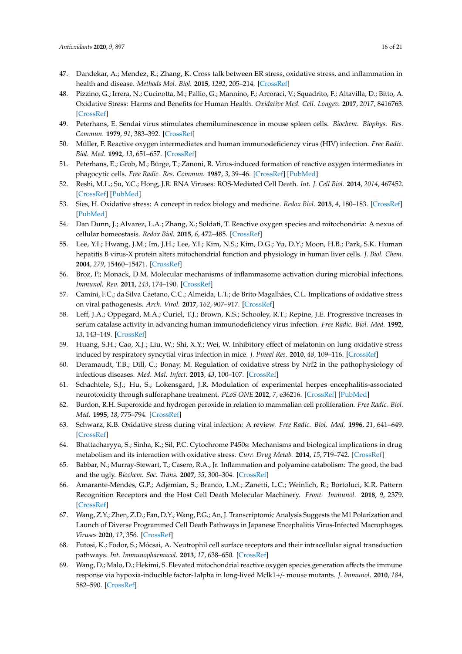- 47. Dandekar, A.; Mendez, R.; Zhang, K. Cross talk between ER stress, oxidative stress, and inflammation in health and disease. *Methods Mol. Biol.* **2015**, *1292*, 205–214. [CrossRef]
- 48. Pizzino, G.; Irrera, N.; Cucinotta, M.; Pallio, G.; Mannino, F.; Arcoraci, V.; Squadrito, F.; Altavilla, D.; Bitto, A. Oxidative Stress: Harms and Benefits for Human Health. *Oxidative Med. Cell. Longev.* **2017**, *2017*, 8416763. [CrossRef]
- 49. Peterhans, E. Sendai virus stimulates chemiluminescence in mouse spleen cells. *Biochem. Biophys. Res. Commun.* **1979**, *91*, 383–392. [CrossRef]
- 50. Müller, F. Reactive oxygen intermediates and human immunodeficiency virus (HIV) infection. *Free Radic. Biol. Med.* **1992**, *13*, 651–657. [CrossRef]
- 51. Peterhans, E.; Grob, M.; Bürge, T.; Zanoni, R. Virus-induced formation of reactive oxygen intermediates in phagocytic cells. *Free Radic. Res. Commun.* **1987**, *3*, 39–46. [CrossRef] [PubMed]
- 52. Reshi, M.L.; Su, Y.C.; Hong, J.R. RNA Viruses: ROS-Mediated Cell Death. *Int. J. Cell Biol.* **2014**, *2014*, 467452. [CrossRef] [PubMed]
- 53. Sies, H. Oxidative stress: A concept in redox biology and medicine. *Redox Biol.* **2015**, *4*, 180–183. [CrossRef] [PubMed]
- 54. Dan Dunn, J.; Alvarez, L.A.; Zhang, X.; Soldati, T. Reactive oxygen species and mitochondria: A nexus of cellular homeostasis. *Redox Biol.* **2015**, *6*, 472–485. [CrossRef]
- 55. Lee, Y.I.; Hwang, J.M.; Im, J.H.; Lee, Y.I.; Kim, N.S.; Kim, D.G.; Yu, D.Y.; Moon, H.B.; Park, S.K. Human hepatitis B virus-X protein alters mitochondrial function and physiology in human liver cells. *J. Biol. Chem.* **2004**, *279*, 15460–15471. [CrossRef]
- 56. Broz, P.; Monack, D.M. Molecular mechanisms of inflammasome activation during microbial infections. *Immunol. Rev.* **2011**, *243*, 174–190. [CrossRef]
- 57. Camini, F.C.; da Silva Caetano, C.C.; Almeida, L.T.; de Brito Magalhães, C.L. Implications of oxidative stress on viral pathogenesis. *Arch. Virol.* **2017**, *162*, 907–917. [CrossRef]
- 58. Leff, J.A.; Oppegard, M.A.; Curiel, T.J.; Brown, K.S.; Schooley, R.T.; Repine, J.E. Progressive increases in serum catalase activity in advancing human immunodeficiency virus infection. *Free Radic. Biol. Med.* **1992**, *13*, 143–149. [CrossRef]
- 59. Huang, S.H.; Cao, X.J.; Liu, W.; Shi, X.Y.; Wei, W. Inhibitory effect of melatonin on lung oxidative stress induced by respiratory syncytial virus infection in mice. *J. Pineal Res.* **2010**, *48*, 109–116. [CrossRef]
- 60. Deramaudt, T.B.; Dill, C.; Bonay, M. Regulation of oxidative stress by Nrf2 in the pathophysiology of infectious diseases. *Med. Mal. Infect.* **2013**, *43*, 100–107. [CrossRef]
- 61. Schachtele, S.J.; Hu, S.; Lokensgard, J.R. Modulation of experimental herpes encephalitis-associated neurotoxicity through sulforaphane treatment. *PLoS ONE* **2012**, *7*, e36216. [CrossRef] [PubMed]
- 62. Burdon, R.H. Superoxide and hydrogen peroxide in relation to mammalian cell proliferation. *Free Radic. Biol. Med.* **1995**, *18*, 775–794. [CrossRef]
- 63. Schwarz, K.B. Oxidative stress during viral infection: A review. *Free Radic. Biol. Med.* **1996**, *21*, 641–649. [CrossRef]
- 64. Bhattacharyya, S.; Sinha, K.; Sil, P.C. Cytochrome P450s: Mechanisms and biological implications in drug metabolism and its interaction with oxidative stress. *Curr. Drug Metab.* **2014**, *15*, 719–742. [CrossRef]
- 65. Babbar, N.; Murray-Stewart, T.; Casero, R.A., Jr. Inflammation and polyamine catabolism: The good, the bad and the ugly. *Biochem. Soc. Trans.* **2007**, *35*, 300–304. [CrossRef]
- 66. Amarante-Mendes, G.P.; Adjemian, S.; Branco, L.M.; Zanetti, L.C.; Weinlich, R.; Bortoluci, K.R. Pattern Recognition Receptors and the Host Cell Death Molecular Machinery. *Front. Immunol.* **2018**, *9*, 2379. [CrossRef]
- 67. Wang, Z.Y.; Zhen, Z.D.; Fan, D.Y.; Wang, P.G.; An, J. Transcriptomic Analysis Suggests the M1 Polarization and Launch of Diverse Programmed Cell Death Pathways in Japanese Encephalitis Virus-Infected Macrophages. *Viruses* **2020**, *12*, 356. [CrossRef]
- 68. Futosi, K.; Fodor, S.; Mócsai, A. Neutrophil cell surface receptors and their intracellular signal transduction pathways. *Int. Immunopharmacol.* **2013**, *17*, 638–650. [CrossRef]
- 69. Wang, D.; Malo, D.; Hekimi, S. Elevated mitochondrial reactive oxygen species generation affects the immune response via hypoxia-inducible factor-1alpha in long-lived Mclk1+/- mouse mutants. *J. Immunol.* **2010**, *184*, 582–590. [CrossRef]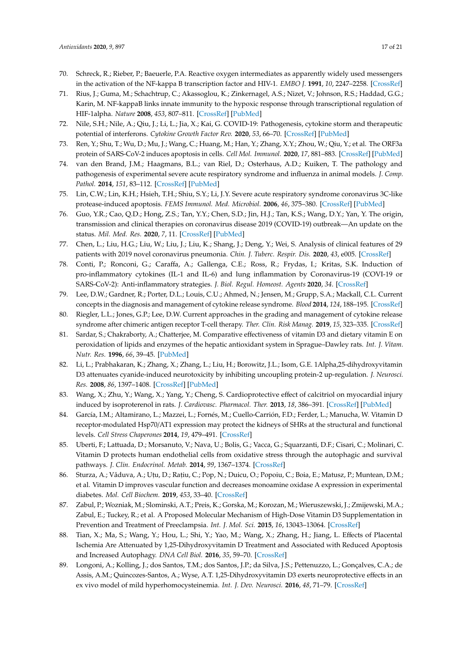- 70. Schreck, R.; Rieber, P.; Baeuerle, P.A. Reactive oxygen intermediates as apparently widely used messengers in the activation of the NF-kappa B transcription factor and HIV-1. *EMBO J.* **1991**, *10*, 2247–2258. [CrossRef]
- 71. Rius, J.; Guma, M.; Schachtrup, C.; Akassoglou, K.; Zinkernagel, A.S.; Nizet, V.; Johnson, R.S.; Haddad, G.G.; Karin, M. NF-kappaB links innate immunity to the hypoxic response through transcriptional regulation of HIF-1alpha. *Nature* **2008**, *453*, 807–811. [CrossRef] [PubMed]
- 72. Nile, S.H.; Nile, A.; Qiu, J.; Li, L.; Jia, X.; Kai, G. COVID-19: Pathogenesis, cytokine storm and therapeutic potential of interferons. *Cytokine Growth Factor Rev.* **2020**, *53*, 66–70. [CrossRef] [PubMed]
- 73. Ren, Y.; Shu, T.; Wu, D.; Mu, J.; Wang, C.; Huang, M.; Han, Y.; Zhang, X.Y.; Zhou, W.; Qiu, Y.; et al. The ORF3a protein of SARS-CoV-2 induces apoptosis in cells. *Cell Mol. Immunol.* **2020**, *17*, 881–883. [CrossRef] [PubMed]
- 74. van den Brand, J.M.; Haagmans, B.L.; van Riel, D.; Osterhaus, A.D.; Kuiken, T. The pathology and pathogenesis of experimental severe acute respiratory syndrome and influenza in animal models. *J. Comp. Pathol.* **2014**, *151*, 83–112. [CrossRef] [PubMed]
- 75. Lin, C.W.; Lin, K.H.; Hsieh, T.H.; Shiu, S.Y.; Li, J.Y. Severe acute respiratory syndrome coronavirus 3C-like protease-induced apoptosis. *FEMS Immunol. Med. Microbiol.* **2006**, *46*, 375–380. [CrossRef] [PubMed]
- 76. Guo, Y.R.; Cao, Q.D.; Hong, Z.S.; Tan, Y.Y.; Chen, S.D.; Jin, H.J.; Tan, K.S.; Wang, D.Y.; Yan, Y. The origin, transmission and clinical therapies on coronavirus disease 2019 (COVID-19) outbreak—An update on the status. *Mil. Med. Res.* **2020**, *7*, 11. [CrossRef] [PubMed]
- 77. Chen, L.; Liu, H.G.; Liu, W.; Liu, J.; Liu, K.; Shang, J.; Deng, Y.; Wei, S. Analysis of clinical features of 29 patients with 2019 novel coronavirus pneumonia. *Chin. J. Tuberc. Respir. Dis.* **2020**, *43*, e005. [CrossRef]
- 78. Conti, P.; Ronconi, G.; Caraffa, A.; Gallenga, C.E.; Ross, R.; Frydas, I.; Kritas, S.K. Induction of pro-inflammatory cytokines (IL-1 and IL-6) and lung inflammation by Coronavirus-19 (COVI-19 or SARS-CoV-2): Anti-inflammatory strategies. *J. Biol. Regul. Homeost. Agents* **2020**, *34*. [CrossRef]
- 79. Lee, D.W.; Gardner, R.; Porter, D.L.; Louis, C.U.; Ahmed, N.; Jensen, M.; Grupp, S.A.; Mackall, C.L. Current concepts in the diagnosis and management of cytokine release syndrome. *Blood* **2014**, *124*, 188–195. [CrossRef]
- 80. Riegler, L.L.; Jones, G.P.; Lee, D.W. Current approaches in the grading and management of cytokine release syndrome after chimeric antigen receptor T-cell therapy. *Ther. Clin. Risk Manag.* **2019**, *15*, 323–335. [CrossRef]
- 81. Sardar, S.; Chakraborty, A.; Chatterjee, M. Comparative effectiveness of vitamin D3 and dietary vitamin E on peroxidation of lipids and enzymes of the hepatic antioxidant system in Sprague–Dawley rats. *Int. J. Vitam. Nutr. Res.* **1996**, *66*, 39–45. [PubMed]
- 82. Li, L.; Prabhakaran, K.; Zhang, X.; Zhang, L.; Liu, H.; Borowitz, J.L.; Isom, G.E. 1Alpha,25-dihydroxyvitamin D3 attenuates cyanide-induced neurotoxicity by inhibiting uncoupling protein-2 up-regulation. *J. Neurosci. Res.* **2008**, *86*, 1397–1408. [CrossRef] [PubMed]
- 83. Wang, X.; Zhu, Y.; Wang, X.; Yang, Y.; Cheng, S. Cardioprotective effect of calcitriol on myocardial injury induced by isoproterenol in rats. *J. Cardiovasc. Pharmacol. Ther.* **2013**, *18*, 386–391. [CrossRef] [PubMed]
- 84. García, I.M.; Altamirano, L.; Mazzei, L.; Fornés, M.; Cuello-Carrión, F.D.; Ferder, L.; Manucha, W. Vitamin D receptor-modulated Hsp70/AT1 expression may protect the kidneys of SHRs at the structural and functional levels. *Cell Stress Chaperones* **2014**, *19*, 479–491. [CrossRef]
- 85. Uberti, F.; Lattuada, D.; Morsanuto, V.; Nava, U.; Bolis, G.; Vacca, G.; Squarzanti, D.F.; Cisari, C.; Molinari, C. Vitamin D protects human endothelial cells from oxidative stress through the autophagic and survival pathways. *J. Clin. Endocrinol. Metab.* **2014**, *99*, 1367–1374. [CrossRef]
- 86. Sturza, A.; Văduva, A.; Utu, D.; Ratiu, C.; Pop, N.; Duicu, O.; Popoiu, C.; Boia, E.; Matusz, P.; Muntean, D.M.; et al. Vitamin D improves vascular function and decreases monoamine oxidase A expression in experimental diabetes. *Mol. Cell Biochem.* **2019**, *453*, 33–40. [CrossRef]
- 87. Zabul, P.; Wozniak, M.; Slominski, A.T.; Preis, K.; Gorska, M.; Korozan, M.; Wieruszewski, J.; Zmijewski, M.A.; Zabul, E.; Tuckey, R.; et al. A Proposed Molecular Mechanism of High-Dose Vitamin D3 Supplementation in Prevention and Treatment of Preeclampsia. *Int. J. Mol. Sci.* **2015**, *16*, 13043–13064. [CrossRef]
- 88. Tian, X.; Ma, S.; Wang, Y.; Hou, L.; Shi, Y.; Yao, M.; Wang, X.; Zhang, H.; Jiang, L. Effects of Placental Ischemia Are Attenuated by 1,25-Dihydroxyvitamin D Treatment and Associated with Reduced Apoptosis and Increased Autophagy. *DNA Cell Biol.* **2016**, *35*, 59–70. [CrossRef]
- 89. Longoni, A.; Kolling, J.; dos Santos, T.M.; dos Santos, J.P.; da Silva, J.S.; Pettenuzzo, L.; Gonçalves, C.A.; de Assis, A.M.; Quincozes-Santos, A.; Wyse, A.T. 1,25-Dihydroxyvitamin D3 exerts neuroprotective effects in an ex vivo model of mild hyperhomocysteinemia. *Int. J. Dev. Neurosci.* **2016**, *48*, 71–79. [CrossRef]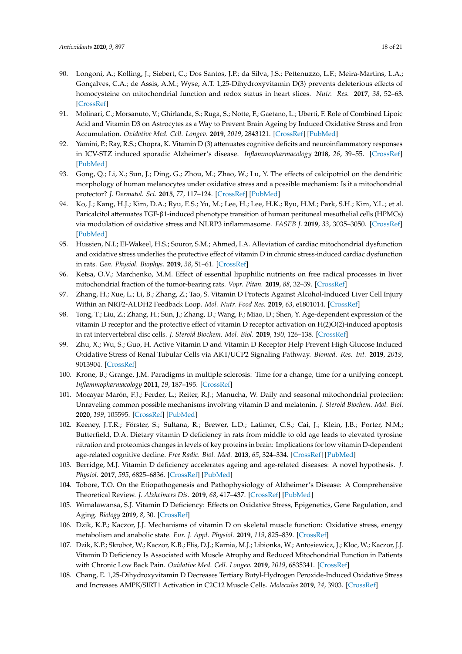- 90. Longoni, A.; Kolling, J.; Siebert, C.; Dos Santos, J.P.; da Silva, J.S.; Pettenuzzo, L.F.; Meira-Martins, L.A.; Gonçalves, C.A.; de Assis, A.M.; Wyse, A.T. 1,25-Dihydroxyvitamin D(3) prevents deleterious effects of homocysteine on mitochondrial function and redox status in heart slices. *Nutr. Res.* **2017**, *38*, 52–63. [CrossRef]
- 91. Molinari, C.; Morsanuto, V.; Ghirlanda, S.; Ruga, S.; Notte, F.; Gaetano, L.; Uberti, F. Role of Combined Lipoic Acid and Vitamin D3 on Astrocytes as a Way to Prevent Brain Ageing by Induced Oxidative Stress and Iron Accumulation. *Oxidative Med. Cell. Longev.* **2019**, *2019*, 2843121. [CrossRef] [PubMed]
- 92. Yamini, P.; Ray, R.S.; Chopra, K. Vitamin D (3) attenuates cognitive deficits and neuroinflammatory responses in ICV-STZ induced sporadic Alzheimer's disease. *Inflammopharmacology* **2018**, *26*, 39–55. [CrossRef] [PubMed]
- 93. Gong, Q.; Li, X.; Sun, J.; Ding, G.; Zhou, M.; Zhao, W.; Lu, Y. The effects of calcipotriol on the dendritic morphology of human melanocytes under oxidative stress and a possible mechanism: Is it a mitochondrial protector? *J. Dermatol. Sci.* **2015**, *77*, 117–124. [CrossRef] [PubMed]
- 94. Ko, J.; Kang, H.J.; Kim, D.A.; Ryu, E.S.; Yu, M.; Lee, H.; Lee, H.K.; Ryu, H.M.; Park, S.H.; Kim, Y.L.; et al. Paricalcitol attenuates TGF-β1-induced phenotype transition of human peritoneal mesothelial cells (HPMCs) via modulation of oxidative stress and NLRP3 inflammasome. *FASEB J.* **2019**, *33*, 3035–3050. [CrossRef] [PubMed]
- 95. Hussien, N.I.; El-Wakeel, H.S.; Souror, S.M.; Ahmed, I.A. Alleviation of cardiac mitochondrial dysfunction and oxidative stress underlies the protective effect of vitamin D in chronic stress-induced cardiac dysfunction in rats. *Gen. Physiol. Biophys.* **2019**, *38*, 51–61. [CrossRef]
- 96. Ketsa, O.V.; Marchenko, M.M. Effect of essential lipophilic nutrients on free radical processes in liver mitochondrial fraction of the tumor-bearing rats. *Vopr. Pitan.* **2019**, *88*, 32–39. [CrossRef]
- 97. Zhang, H.; Xue, L.; Li, B.; Zhang, Z.; Tao, S. Vitamin D Protects Against Alcohol-Induced Liver Cell Injury Within an NRF2-ALDH2 Feedback Loop. *Mol. Nutr. Food Res.* **2019**, *63*, e1801014. [CrossRef]
- 98. Tong, T.; Liu, Z.; Zhang, H.; Sun, J.; Zhang, D.; Wang, F.; Miao, D.; Shen, Y. Age-dependent expression of the vitamin D receptor and the protective effect of vitamin D receptor activation on H(2)O(2)-induced apoptosis in rat intervertebral disc cells. *J. Steroid Biochem. Mol. Biol.* **2019**, *190*, 126–138. [CrossRef]
- 99. Zhu, X.; Wu, S.; Guo, H. Active Vitamin D and Vitamin D Receptor Help Prevent High Glucose Induced Oxidative Stress of Renal Tubular Cells via AKT/UCP2 Signaling Pathway. *Biomed. Res. Int.* **2019**, *2019*, 9013904. [CrossRef]
- 100. Krone, B.; Grange, J.M. Paradigms in multiple sclerosis: Time for a change, time for a unifying concept. *Inflammopharmacology* **2011**, *19*, 187–195. [CrossRef]
- 101. Mocayar Marón, F.J.; Ferder, L.; Reiter, R.J.; Manucha, W. Daily and seasonal mitochondrial protection: Unraveling common possible mechanisms involving vitamin D and melatonin. *J. Steroid Biochem. Mol. Biol.* **2020**, *199*, 105595. [CrossRef] [PubMed]
- 102. Keeney, J.T.R.; Förster, S.; Sultana, R.; Brewer, L.D.; Latimer, C.S.; Cai, J.; Klein, J.B.; Porter, N.M.; Butterfield, D.A. Dietary vitamin D deficiency in rats from middle to old age leads to elevated tyrosine nitration and proteomics changes in levels of key proteins in brain: Implications for low vitamin D-dependent age-related cognitive decline. *Free Radic. Biol. Med.* **2013**, *65*, 324–334. [CrossRef] [PubMed]
- 103. Berridge, M.J. Vitamin D deficiency accelerates ageing and age-related diseases: A novel hypothesis. *J. Physiol.* **2017**, *595*, 6825–6836. [CrossRef] [PubMed]
- 104. Tobore, T.O. On the Etiopathogenesis and Pathophysiology of Alzheimer's Disease: A Comprehensive Theoretical Review. *J. Alzheimers Dis.* **2019**, *68*, 417–437. [CrossRef] [PubMed]
- 105. Wimalawansa, S.J. Vitamin D Deficiency: Effects on Oxidative Stress, Epigenetics, Gene Regulation, and Aging. *Biology* **2019**, *8*, 30. [CrossRef]
- 106. Dzik, K.P.; Kaczor, J.J. Mechanisms of vitamin D on skeletal muscle function: Oxidative stress, energy metabolism and anabolic state. *Eur. J. Appl. Physiol.* **2019**, *119*, 825–839. [CrossRef]
- 107. Dzik, K.P.; Skrobot, W.; Kaczor, K.B.; Flis, D.J.; Karnia, M.J.; Libionka, W.; Antosiewicz, J.; Kloc, W.; Kaczor, J.J. Vitamin D Deficiency Is Associated with Muscle Atrophy and Reduced Mitochondrial Function in Patients with Chronic Low Back Pain. *Oxidative Med. Cell. Longev.* **2019**, *2019*, 6835341. [CrossRef]
- 108. Chang, E. 1,25-Dihydroxyvitamin D Decreases Tertiary Butyl-Hydrogen Peroxide-Induced Oxidative Stress and Increases AMPK/SIRT1 Activation in C2C12 Muscle Cells. *Molecules* **2019**, *24*, 3903. [CrossRef]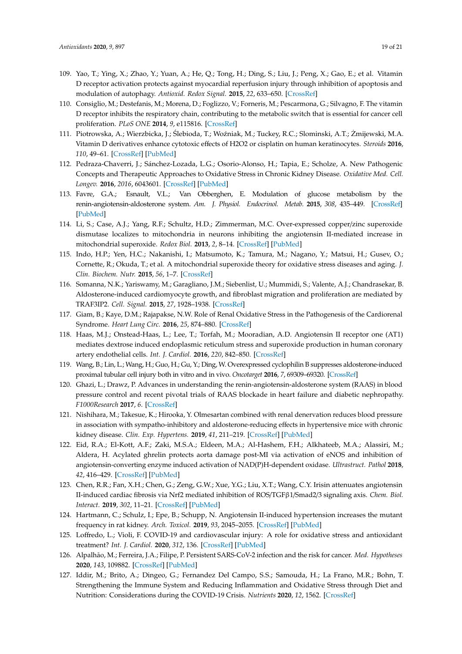- 109. Yao, T.; Ying, X.; Zhao, Y.; Yuan, A.; He, Q.; Tong, H.; Ding, S.; Liu, J.; Peng, X.; Gao, E.; et al. Vitamin D receptor activation protects against myocardial reperfusion injury through inhibition of apoptosis and modulation of autophagy. *Antioxid. Redox Signal.* **2015**, *22*, 633–650. [CrossRef]
- 110. Consiglio, M.; Destefanis, M.; Morena, D.; Foglizzo, V.; Forneris, M.; Pescarmona, G.; Silvagno, F. The vitamin D receptor inhibits the respiratory chain, contributing to the metabolic switch that is essential for cancer cell proliferation. *PLoS ONE* **2014**, *9*, e115816. [CrossRef]
- 111. Piotrowska, A.; Wierzbicka, J.; Ślebioda, T.; Woźniak, M.; Tuckey, R.C.; Slominski, A.T.; Żmijewski, M.A. Vitamin D derivatives enhance cytotoxic effects of H2O2 or cisplatin on human keratinocytes. *Steroids* **2016**, *110*, 49–61. [CrossRef] [PubMed]
- 112. Pedraza-Chaverri, J.; Sánchez-Lozada, L.G.; Osorio-Alonso, H.; Tapia, E.; Scholze, A. New Pathogenic Concepts and Therapeutic Approaches to Oxidative Stress in Chronic Kidney Disease. *Oxidative Med. Cell. Longev.* **2016**, *2016*, 6043601. [CrossRef] [PubMed]
- 113. Favre, G.A.; Esnault, V.L.; Van Obberghen, E. Modulation of glucose metabolism by the renin-angiotensin-aldosterone system. *Am. J. Physiol. Endocrinol. Metab.* **2015**, *308*, 435–449. [CrossRef] [PubMed]
- 114. Li, S.; Case, A.J.; Yang, R.F.; Schultz, H.D.; Zimmerman, M.C. Over-expressed copper/zinc superoxide dismutase localizes to mitochondria in neurons inhibiting the angiotensin II-mediated increase in mitochondrial superoxide. *Redox Biol.* **2013**, *2*, 8–14. [CrossRef] [PubMed]
- 115. Indo, H.P.; Yen, H.C.; Nakanishi, I.; Matsumoto, K.; Tamura, M.; Nagano, Y.; Matsui, H.; Gusev, O.; Cornette, R.; Okuda, T.; et al. A mitochondrial superoxide theory for oxidative stress diseases and aging. *J. Clin. Biochem. Nutr.* **2015**, *56*, 1–7. [CrossRef]
- 116. Somanna, N.K.; Yariswamy, M.; Garagliano, J.M.; Siebenlist, U.; Mummidi, S.; Valente, A.J.; Chandrasekar, B. Aldosterone-induced cardiomyocyte growth, and fibroblast migration and proliferation are mediated by TRAF3IP2. *Cell. Signal.* **2015**, *27*, 1928–1938. [CrossRef]
- 117. Giam, B.; Kaye, D.M.; Rajapakse, N.W. Role of Renal Oxidative Stress in the Pathogenesis of the Cardiorenal Syndrome. *Heart Lung Circ.* **2016**, *25*, 874–880. [CrossRef]
- 118. Haas, M.J.; Onstead-Haas, L.; Lee, T.; Torfah, M.; Mooradian, A.D. Angiotensin II receptor one (AT1) mediates dextrose induced endoplasmic reticulum stress and superoxide production in human coronary artery endothelial cells. *Int. J. Cardiol.* **2016**, *220*, 842–850. [CrossRef]
- 119. Wang, B.; Lin, L.; Wang, H.; Guo, H.; Gu, Y.; Ding, W. Overexpressed cyclophilin B suppresses aldosterone-induced proximal tubular cell injury both in vitro and in vivo. *Oncotarget* **2016**, *7*, 69309–69320. [CrossRef]
- 120. Ghazi, L.; Drawz, P. Advances in understanding the renin-angiotensin-aldosterone system (RAAS) in blood pressure control and recent pivotal trials of RAAS blockade in heart failure and diabetic nephropathy. *F1000Research* **2017**, *6*. [CrossRef]
- 121. Nishihara, M.; Takesue, K.; Hirooka, Y. Olmesartan combined with renal denervation reduces blood pressure in association with sympatho-inhibitory and aldosterone-reducing effects in hypertensive mice with chronic kidney disease. *Clin. Exp. Hypertens.* **2019**, *41*, 211–219. [CrossRef] [PubMed]
- 122. Eid, R.A.; El-Kott, A.F.; Zaki, M.S.A.; Eldeen, M.A.; Al-Hashem, F.H.; Alkhateeb, M.A.; Alassiri, M.; Aldera, H. Acylated ghrelin protects aorta damage post-MI via activation of eNOS and inhibition of angiotensin-converting enzyme induced activation of NAD(P)H-dependent oxidase. *Ultrastruct. Pathol* **2018**, *42*, 416–429. [CrossRef] [PubMed]
- 123. Chen, R.R.; Fan, X.H.; Chen, G.; Zeng, G.W.; Xue, Y.G.; Liu, X.T.; Wang, C.Y. Irisin attenuates angiotensin II-induced cardiac fibrosis via Nrf2 mediated inhibition of ROS/TGFβ1/Smad2/3 signaling axis. *Chem. Biol. Interact.* **2019**, *302*, 11–21. [CrossRef] [PubMed]
- 124. Hartmann, C.; Schulz, I.; Epe, B.; Schupp, N. Angiotensin II-induced hypertension increases the mutant frequency in rat kidney. *Arch. Toxicol.* **2019**, *93*, 2045–2055. [CrossRef] [PubMed]
- 125. Loffredo, L.; Violi, F. COVID-19 and cardiovascular injury: A role for oxidative stress and antioxidant treatment? *Int. J. Cardiol.* **2020**, *312*, 136. [CrossRef] [PubMed]
- 126. Alpalhão, M.; Ferreira, J.A.; Filipe, P. Persistent SARS-CoV-2 infection and the risk for cancer. *Med. Hypotheses* **2020**, *143*, 109882. [CrossRef] [PubMed]
- 127. Iddir, M.; Brito, A.; Dingeo, G.; Fernandez Del Campo, S.S.; Samouda, H.; La Frano, M.R.; Bohn, T. Strengthening the Immune System and Reducing Inflammation and Oxidative Stress through Diet and Nutrition: Considerations during the COVID-19 Crisis. *Nutrients* **2020**, *12*, 1562. [CrossRef]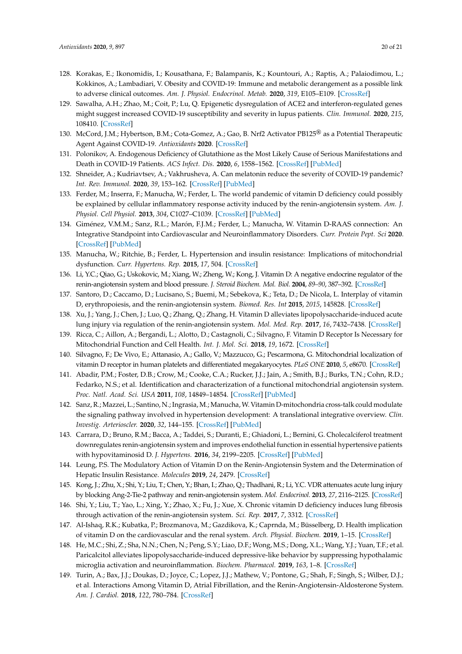- 128. Korakas, E.; Ikonomidis, I.; Kousathana, F.; Balampanis, K.; Kountouri, A.; Raptis, A.; Palaiodimou, L.; Kokkinos, A.; Lambadiari, V. Obesity and COVID-19: Immune and metabolic derangement as a possible link to adverse clinical outcomes. *Am. J. Physiol. Endocrinol. Metab.* **2020**, *319*, E105–E109. [CrossRef]
- 129. Sawalha, A.H.; Zhao, M.; Coit, P.; Lu, Q. Epigenetic dysregulation of ACE2 and interferon-regulated genes might suggest increased COVID-19 susceptibility and severity in lupus patients. *Clin. Immunol.* **2020**, *215*, 108410. [CrossRef]
- 130. McCord, J.M.; Hybertson, B.M.; Cota-Gomez, A.; Gao, B. Nrf2 Activator PB125® as a Potential Therapeutic Agent Against COVID-19. *Antioxidants* **2020**. [CrossRef]
- 131. Polonikov, A. Endogenous Deficiency of Glutathione as the Most Likely Cause of Serious Manifestations and Death in COVID-19 Patients. *ACS Infect. Dis.* **2020**, *6*, 1558–1562. [CrossRef] [PubMed]
- 132. Shneider, A.; Kudriavtsev, A.; Vakhrusheva, A. Can melatonin reduce the severity of COVID-19 pandemic? *Int. Rev. Immunol.* **2020**, *39*, 153–162. [CrossRef] [PubMed]
- 133. Ferder, M.; Inserra, F.; Manucha, W.; Ferder, L. The world pandemic of vitamin D deficiency could possibly be explained by cellular inflammatory response activity induced by the renin-angiotensin system. *Am. J. Physiol. Cell Physiol.* **2013**, *304*, C1027–C1039. [CrossRef] [PubMed]
- 134. Giménez, V.M.M.; Sanz, R.L.; Marón, F.J.M.; Ferder, L.; Manucha, W. Vitamin D-RAAS connection: An Integrative Standpoint into Cardiovascular and Neuroinflammatory Disorders. *Curr. Protein Pept. Sci* **2020**. [CrossRef] [PubMed]
- 135. Manucha, W.; Ritchie, B.; Ferder, L. Hypertension and insulin resistance: Implications of mitochondrial dysfunction. *Curr. Hypertens. Rep.* **2015**, *17*, 504. [CrossRef]
- 136. Li, Y.C.; Qiao, G.; Uskokovic, M.; Xiang, W.; Zheng, W.; Kong, J. Vitamin D: A negative endocrine regulator of the renin-angiotensin system and blood pressure. *J. Steroid Biochem. Mol. Biol.* **2004**, *89–90*, 387–392. [CrossRef]
- 137. Santoro, D.; Caccamo, D.; Lucisano, S.; Buemi, M.; Sebekova, K.; Teta, D.; De Nicola, L. Interplay of vitamin D, erythropoiesis, and the renin-angiotensin system. *Biomed. Res. Int* **2015**, *2015*, 145828. [CrossRef]
- 138. Xu, J.; Yang, J.; Chen, J.; Luo, Q.; Zhang, Q.; Zhang, H. Vitamin D alleviates lipopolysaccharide-induced acute lung injury via regulation of the renin-angiotensin system. *Mol. Med. Rep.* **2017**, *16*, 7432–7438. [CrossRef]
- 139. Ricca, C.; Aillon, A.; Bergandi, L.; Alotto, D.; Castagnoli, C.; Silvagno, F. Vitamin D Receptor Is Necessary for Mitochondrial Function and Cell Health. *Int. J. Mol. Sci.* **2018**, *19*, 1672. [CrossRef]
- 140. Silvagno, F.; De Vivo, E.; Attanasio, A.; Gallo, V.; Mazzucco, G.; Pescarmona, G. Mitochondrial localization of vitamin D receptor in human platelets and differentiated megakaryocytes. *PLoS ONE* **2010**, *5*, e8670. [CrossRef]
- 141. Abadir, P.M.; Foster, D.B.; Crow, M.; Cooke, C.A.; Rucker, J.J.; Jain, A.; Smith, B.J.; Burks, T.N.; Cohn, R.D.; Fedarko, N.S.; et al. Identification and characterization of a functional mitochondrial angiotensin system. *Proc. Natl. Acad. Sci. USA* **2011**, *108*, 14849–14854. [CrossRef] [PubMed]
- 142. Sanz, R.; Mazzei, L.; Santino, N.; Ingrasia, M.; Manucha,W. Vitamin D-mitochondria cross-talk could modulate the signaling pathway involved in hypertension development: A translational integrative overview. *Clin. Investig. Arterioscler.* **2020**, *32*, 144–155. [CrossRef] [PubMed]
- 143. Carrara, D.; Bruno, R.M.; Bacca, A.; Taddei, S.; Duranti, E.; Ghiadoni, L.; Bernini, G. Cholecalciferol treatment downregulates renin-angiotensin system and improves endothelial function in essential hypertensive patients with hypovitaminosid D. *J. Hypertens.* **2016**, *34*, 2199–2205. [CrossRef] [PubMed]
- 144. Leung, P.S. The Modulatory Action of Vitamin D on the Renin-Angiotensin System and the Determination of Hepatic Insulin Resistance. *Molecules* **2019**, *24*, 2479. [CrossRef]
- 145. Kong, J.; Zhu, X.; Shi, Y.; Liu, T.; Chen, Y.; Bhan, I.; Zhao, Q.; Thadhani, R.; Li, Y.C. VDR attenuates acute lung injury by blocking Ang-2-Tie-2 pathway and renin-angiotensin system. *Mol. Endocrinol.* **2013**, *27*, 2116–2125. [CrossRef]
- 146. Shi, Y.; Liu, T.; Yao, L.; Xing, Y.; Zhao, X.; Fu, J.; Xue, X. Chronic vitamin D deficiency induces lung fibrosis through activation of the renin-angiotensin system. *Sci. Rep.* **2017**, *7*, 3312. [CrossRef]
- 147. Al-Ishaq, R.K.; Kubatka, P.; Brozmanova, M.; Gazdikova, K.; Caprnda, M.; Büsselberg, D. Health implication of vitamin D on the cardiovascular and the renal system. *Arch. Physiol. Biochem.* **2019**, 1–15. [CrossRef]
- 148. He, M.C.; Shi, Z.; Sha, N.N.; Chen, N.; Peng, S.Y.; Liao, D.F.; Wong, M.S.; Dong, X.L.; Wang, Y.J.; Yuan, T.F.; et al. Paricalcitol alleviates lipopolysaccharide-induced depressive-like behavior by suppressing hypothalamic microglia activation and neuroinflammation. *Biochem. Pharmacol.* **2019**, *163*, 1–8. [CrossRef]
- 149. Turin, A.; Bax, J.J.; Doukas, D.; Joyce, C.; Lopez, J.J.; Mathew, V.; Pontone, G.; Shah, F.; Singh, S.; Wilber, D.J.; et al. Interactions Among Vitamin D, Atrial Fibrillation, and the Renin-Angiotensin-Aldosterone System. *Am. J. Cardiol.* **2018**, *122*, 780–784. [CrossRef]